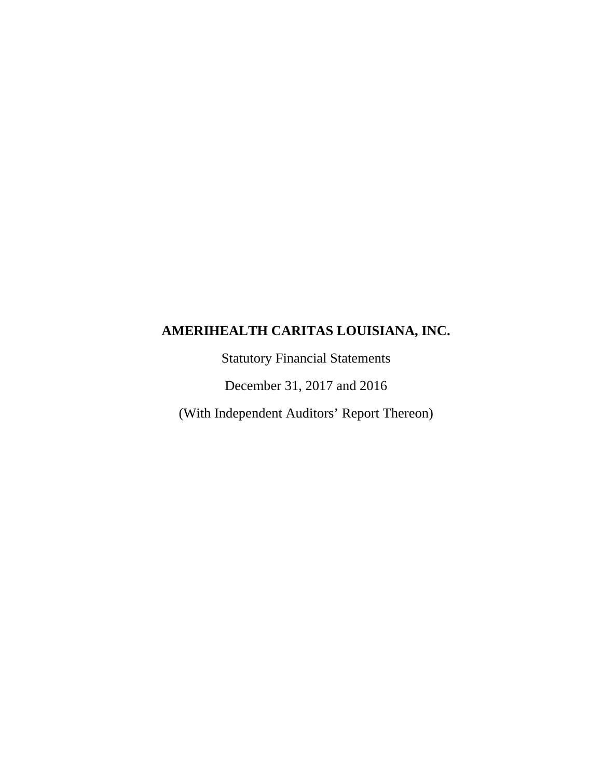Statutory Financial Statements

December 31, 2017 and 2016

(With Independent Auditors' Report Thereon)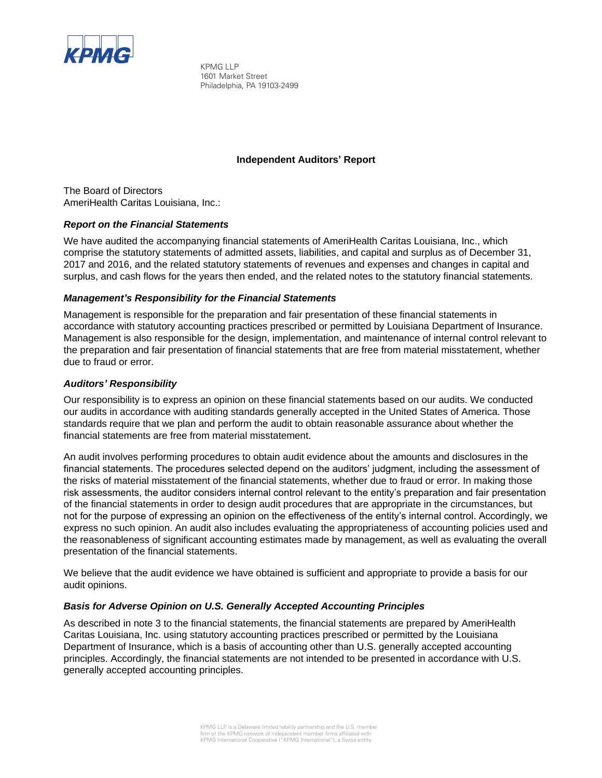

KPMG LLP 1601 Market Street Philadelphia, PA 19103-2499

## **Independent Auditors' Report**

The Board of Directors AmeriHealth Caritas Louisiana, Inc.:

## *Report on the Financial Statements*

We have audited the accompanying financial statements of AmeriHealth Caritas Louisiana, Inc., which comprise the statutory statements of admitted assets, liabilities, and capital and surplus as of December 31, 2017 and 2016, and the related statutory statements of revenues and expenses and changes in capital and surplus, and cash flows for the years then ended, and the related notes to the statutory financial statements.

#### *Management's Responsibility for the Financial Statements*

Management is responsible for the preparation and fair presentation of these financial statements in accordance with statutory accounting practices prescribed or permitted by Louisiana Department of Insurance. Management is also responsible for the design, implementation, and maintenance of internal control relevant to the preparation and fair presentation of financial statements that are free from material misstatement, whether due to fraud or error.

## *Auditors' Responsibility*

Our responsibility is to express an opinion on these financial statements based on our audits. We conducted our audits in accordance with auditing standards generally accepted in the United States of America. Those standards require that we plan and perform the audit to obtain reasonable assurance about whether the financial statements are free from material misstatement.

An audit involves performing procedures to obtain audit evidence about the amounts and disclosures in the financial statements. The procedures selected depend on the auditors' judgment, including the assessment of the risks of material misstatement of the financial statements, whether due to fraud or error. In making those risk assessments, the auditor considers internal control relevant to the entity's preparation and fair presentation of the financial statements in order to design audit procedures that are appropriate in the circumstances, but not for the purpose of expressing an opinion on the effectiveness of the entity's internal control. Accordingly, we express no such opinion. An audit also includes evaluating the appropriateness of accounting policies used and the reasonableness of significant accounting estimates made by management, as well as evaluating the overall presentation of the financial statements.

We believe that the audit evidence we have obtained is sufficient and appropriate to provide a basis for our audit opinions.

#### *Basis for Adverse Opinion on U.S. Generally Accepted Accounting Principles*

As described in note 3 to the financial statements, the financial statements are prepared by AmeriHealth Caritas Louisiana, Inc. using statutory accounting practices prescribed or permitted by the Louisiana Department of Insurance, which is a basis of accounting other than U.S. generally accepted accounting principles. Accordingly, the financial statements are not intended to be presented in accordance with U.S. generally accepted accounting principles.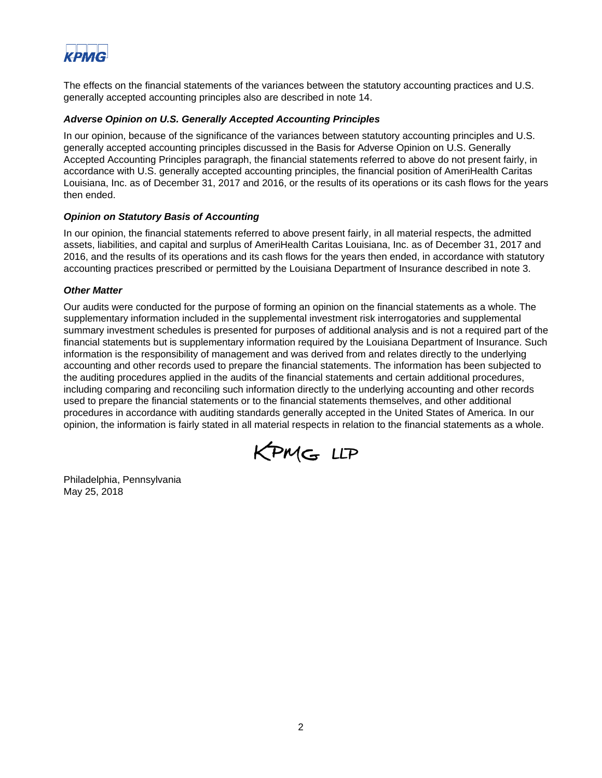

The effects on the financial statements of the variances between the statutory accounting practices and U.S. generally accepted accounting principles also are described in note 14.

#### *Adverse Opinion on U.S. Generally Accepted Accounting Principles*

In our opinion, because of the significance of the variances between statutory accounting principles and U.S. generally accepted accounting principles discussed in the Basis for Adverse Opinion on U.S. Generally Accepted Accounting Principles paragraph, the financial statements referred to above do not present fairly, in accordance with U.S. generally accepted accounting principles, the financial position of AmeriHealth Caritas Louisiana, Inc. as of December 31, 2017 and 2016, or the results of its operations or its cash flows for the years then ended.

#### *Opinion on Statutory Basis of Accounting*

In our opinion, the financial statements referred to above present fairly, in all material respects, the admitted assets, liabilities, and capital and surplus of AmeriHealth Caritas Louisiana, Inc. as of December 31, 2017 and 2016, and the results of its operations and its cash flows for the years then ended, in accordance with statutory accounting practices prescribed or permitted by the Louisiana Department of Insurance described in note 3.

#### *Other Matter*

Our audits were conducted for the purpose of forming an opinion on the financial statements as a whole. The supplementary information included in the supplemental investment risk interrogatories and supplemental summary investment schedules is presented for purposes of additional analysis and is not a required part of the financial statements but is supplementary information required by the Louisiana Department of Insurance. Such information is the responsibility of management and was derived from and relates directly to the underlying accounting and other records used to prepare the financial statements. The information has been subjected to the auditing procedures applied in the audits of the financial statements and certain additional procedures, including comparing and reconciling such information directly to the underlying accounting and other records used to prepare the financial statements or to the financial statements themselves, and other additional procedures in accordance with auditing standards generally accepted in the United States of America. In our opinion, the information is fairly stated in all material respects in relation to the financial statements as a whole.



Philadelphia, Pennsylvania May 25, 2018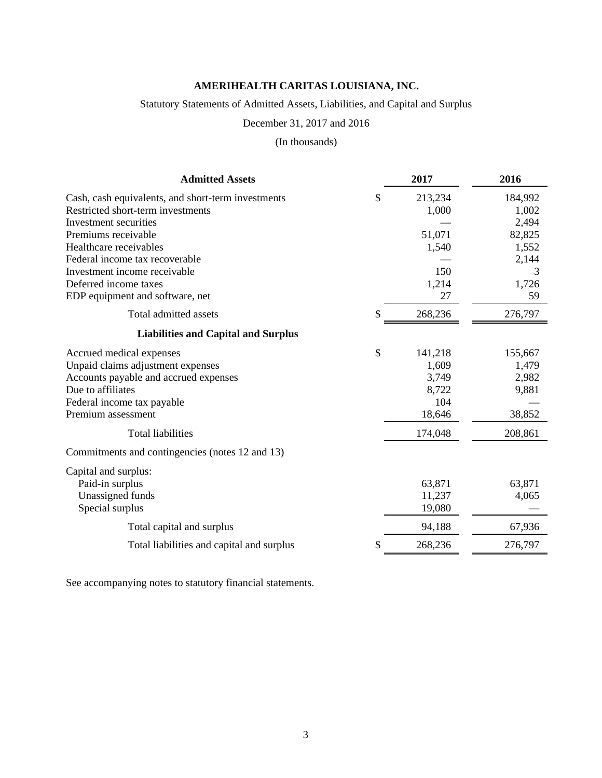## Statutory Statements of Admitted Assets, Liabilities, and Capital and Surplus

## December 31, 2017 and 2016

## (In thousands)

| \$<br>184,992<br>Cash, cash equivalents, and short-term investments<br>213,234<br>Restricted short-term investments<br>1,000<br>1,002<br>2,494<br>Investment securities<br>Premiums receivable<br>51,071<br>82,825<br>Healthcare receivables<br>1,552<br>1,540                                                                                 |
|------------------------------------------------------------------------------------------------------------------------------------------------------------------------------------------------------------------------------------------------------------------------------------------------------------------------------------------------|
| Federal income tax recoverable<br>2,144<br>Investment income receivable<br>150<br>3<br>Deferred income taxes<br>1,214<br>1,726                                                                                                                                                                                                                 |
| EDP equipment and software, net<br>27<br>59                                                                                                                                                                                                                                                                                                    |
| \$<br>Total admitted assets<br>268,236<br>276,797                                                                                                                                                                                                                                                                                              |
| <b>Liabilities and Capital and Surplus</b>                                                                                                                                                                                                                                                                                                     |
| \$<br>141,218<br>155,667<br>Accrued medical expenses<br>Unpaid claims adjustment expenses<br>1,609<br>1,479<br>3,749<br>Accounts payable and accrued expenses<br>2,982<br>Due to affiliates<br>8,722<br>9,881<br>104<br>Federal income tax payable<br>Premium assessment<br>18,646<br>38,852<br><b>Total liabilities</b><br>174,048<br>208,861 |
|                                                                                                                                                                                                                                                                                                                                                |
| Commitments and contingencies (notes 12 and 13)<br>Capital and surplus:<br>Paid-in surplus<br>63,871<br>63,871<br>Unassigned funds<br>11,237<br>4,065<br>Special surplus<br>19,080                                                                                                                                                             |
| 94,188<br>Total capital and surplus<br>67,936                                                                                                                                                                                                                                                                                                  |
| \$<br>268,236<br>Total liabilities and capital and surplus<br>276,797                                                                                                                                                                                                                                                                          |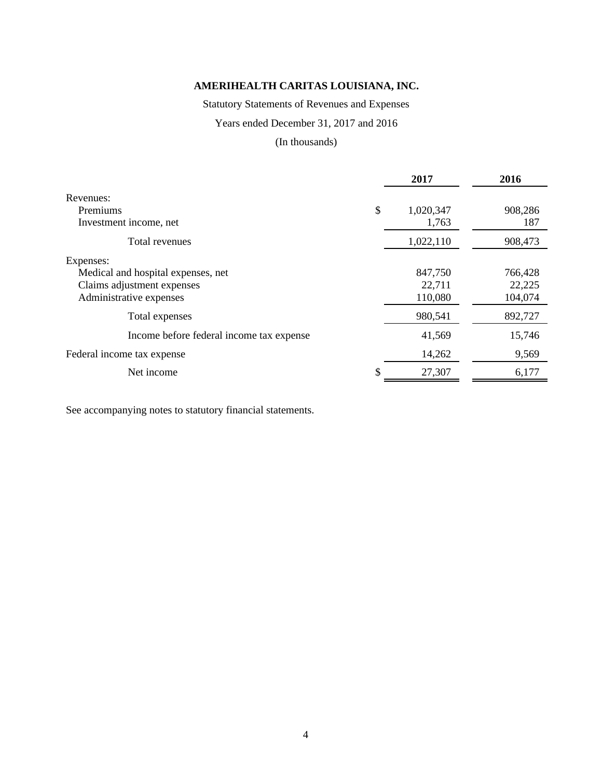## Statutory Statements of Revenues and Expenses

## Years ended December 31, 2017 and 2016

## (In thousands)

|                                          | 2017      | 2016    |
|------------------------------------------|-----------|---------|
| Revenues:                                |           |         |
| \$<br>Premiums                           | 1,020,347 | 908,286 |
| Investment income, net                   | 1,763     | 187     |
| Total revenues                           | 1,022,110 | 908,473 |
| Expenses:                                |           |         |
| Medical and hospital expenses, net       | 847,750   | 766,428 |
| Claims adjustment expenses               | 22,711    | 22,225  |
| Administrative expenses                  | 110,080   | 104,074 |
| Total expenses                           | 980,541   | 892,727 |
| Income before federal income tax expense | 41,569    | 15,746  |
| Federal income tax expense               | 14,262    | 9,569   |
| \$<br>Net income                         | 27,307    | 6,177   |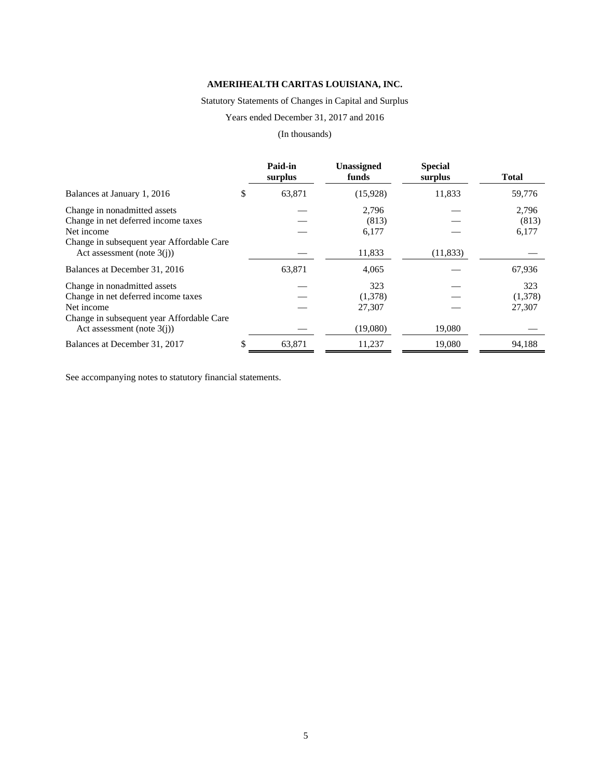## Statutory Statements of Changes in Capital and Surplus

## Years ended December 31, 2017 and 2016

#### (In thousands)

|                                                                                                                                |    | Paid-in<br>surplus | Unassigned<br>funds      | <b>Special</b><br>surplus | <b>Total</b>             |
|--------------------------------------------------------------------------------------------------------------------------------|----|--------------------|--------------------------|---------------------------|--------------------------|
| Balances at January 1, 2016                                                                                                    | S  | 63,871             | (15,928)                 | 11,833                    | 59,776                   |
| Change in nonadmitted assets<br>Change in net deferred income taxes                                                            |    |                    | 2,796<br>(813)           |                           | 2,796<br>(813)           |
| Net income<br>Change in subsequent year Affordable Care                                                                        |    |                    | 6,177                    |                           | 6,177                    |
| Act assessment (note $3(j)$ )                                                                                                  |    |                    | 11,833                   | (11, 833)                 |                          |
| Balances at December 31, 2016                                                                                                  |    | 63,871             | 4,065                    |                           | 67,936                   |
| Change in nonadmitted assets<br>Change in net deferred income taxes<br>Net income<br>Change in subsequent year Affordable Care |    |                    | 323<br>(1,378)<br>27,307 |                           | 323<br>(1,378)<br>27,307 |
| Act assessment (note $3(i)$ )                                                                                                  |    |                    | (19,080)                 | 19,080                    |                          |
| Balances at December 31, 2017                                                                                                  | \$ | 63,871             | 11,237                   | 19,080                    | 94,188                   |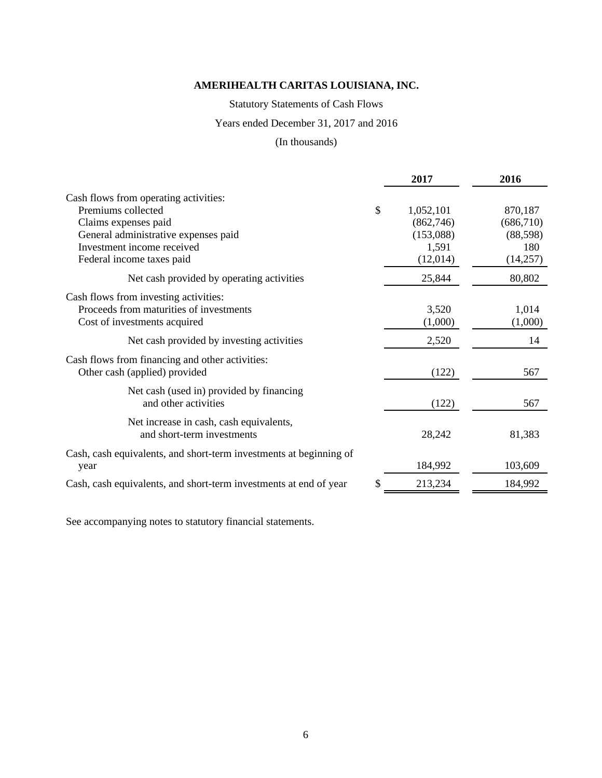## Statutory Statements of Cash Flows

## Years ended December 31, 2017 and 2016

## (In thousands)

|                                                                    | 2017            | 2016      |
|--------------------------------------------------------------------|-----------------|-----------|
| Cash flows from operating activities:                              |                 |           |
| Premiums collected                                                 | \$<br>1,052,101 | 870,187   |
| Claims expenses paid                                               | (862,746)       | (686,710) |
| General administrative expenses paid                               | (153,088)       | (88, 598) |
| Investment income received                                         | 1,591           | 180       |
| Federal income taxes paid                                          | (12,014)        | (14,257)  |
| Net cash provided by operating activities                          | 25,844          | 80,802    |
| Cash flows from investing activities:                              |                 |           |
| Proceeds from maturities of investments                            | 3,520           | 1,014     |
| Cost of investments acquired                                       | (1,000)         | (1,000)   |
| Net cash provided by investing activities                          | 2,520           | 14        |
| Cash flows from financing and other activities:                    |                 |           |
| Other cash (applied) provided                                      | (122)           | 567       |
| Net cash (used in) provided by financing                           |                 |           |
| and other activities                                               | (122)           | 567       |
| Net increase in cash, cash equivalents,                            |                 |           |
| and short-term investments                                         | 28,242          | 81,383    |
| Cash, cash equivalents, and short-term investments at beginning of |                 |           |
| year                                                               | 184,992         | 103,609   |
| Cash, cash equivalents, and short-term investments at end of year  | \$<br>213,234   | 184,992   |
|                                                                    |                 |           |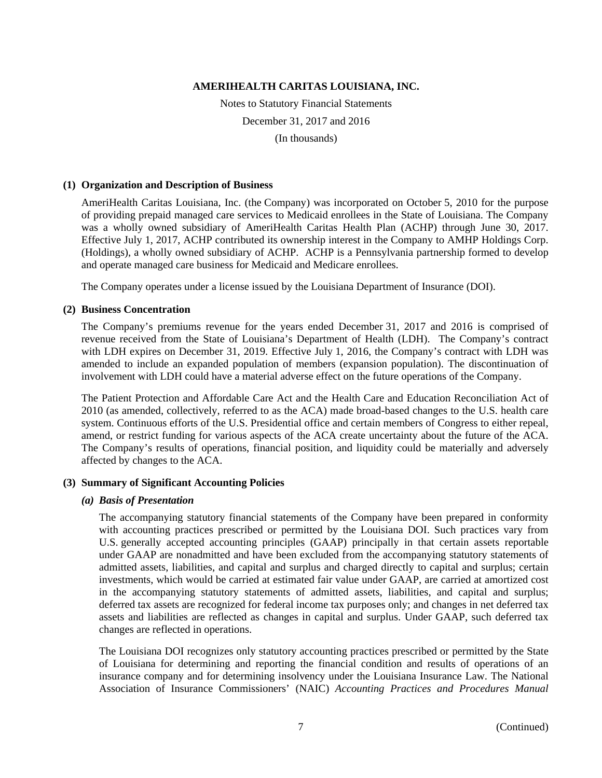Notes to Statutory Financial Statements December 31, 2017 and 2016 (In thousands)

## **(1) Organization and Description of Business**

AmeriHealth Caritas Louisiana, Inc. (the Company) was incorporated on October 5, 2010 for the purpose of providing prepaid managed care services to Medicaid enrollees in the State of Louisiana. The Company was a wholly owned subsidiary of AmeriHealth Caritas Health Plan (ACHP) through June 30, 2017. Effective July 1, 2017, ACHP contributed its ownership interest in the Company to AMHP Holdings Corp. (Holdings), a wholly owned subsidiary of ACHP. ACHP is a Pennsylvania partnership formed to develop and operate managed care business for Medicaid and Medicare enrollees.

The Company operates under a license issued by the Louisiana Department of Insurance (DOI).

## **(2) Business Concentration**

The Company's premiums revenue for the years ended December 31, 2017 and 2016 is comprised of revenue received from the State of Louisiana's Department of Health (LDH). The Company's contract with LDH expires on December 31, 2019. Effective July 1, 2016, the Company's contract with LDH was amended to include an expanded population of members (expansion population). The discontinuation of involvement with LDH could have a material adverse effect on the future operations of the Company.

The Patient Protection and Affordable Care Act and the Health Care and Education Reconciliation Act of 2010 (as amended, collectively, referred to as the ACA) made broad-based changes to the U.S. health care system. Continuous efforts of the U.S. Presidential office and certain members of Congress to either repeal, amend, or restrict funding for various aspects of the ACA create uncertainty about the future of the ACA. The Company's results of operations, financial position, and liquidity could be materially and adversely affected by changes to the ACA.

#### **(3) Summary of Significant Accounting Policies**

#### *(a) Basis of Presentation*

The accompanying statutory financial statements of the Company have been prepared in conformity with accounting practices prescribed or permitted by the Louisiana DOI. Such practices vary from U.S. generally accepted accounting principles (GAAP) principally in that certain assets reportable under GAAP are nonadmitted and have been excluded from the accompanying statutory statements of admitted assets, liabilities, and capital and surplus and charged directly to capital and surplus; certain investments, which would be carried at estimated fair value under GAAP, are carried at amortized cost in the accompanying statutory statements of admitted assets, liabilities, and capital and surplus; deferred tax assets are recognized for federal income tax purposes only; and changes in net deferred tax assets and liabilities are reflected as changes in capital and surplus. Under GAAP, such deferred tax changes are reflected in operations.

The Louisiana DOI recognizes only statutory accounting practices prescribed or permitted by the State of Louisiana for determining and reporting the financial condition and results of operations of an insurance company and for determining insolvency under the Louisiana Insurance Law. The National Association of Insurance Commissioners' (NAIC) *Accounting Practices and Procedures Manual*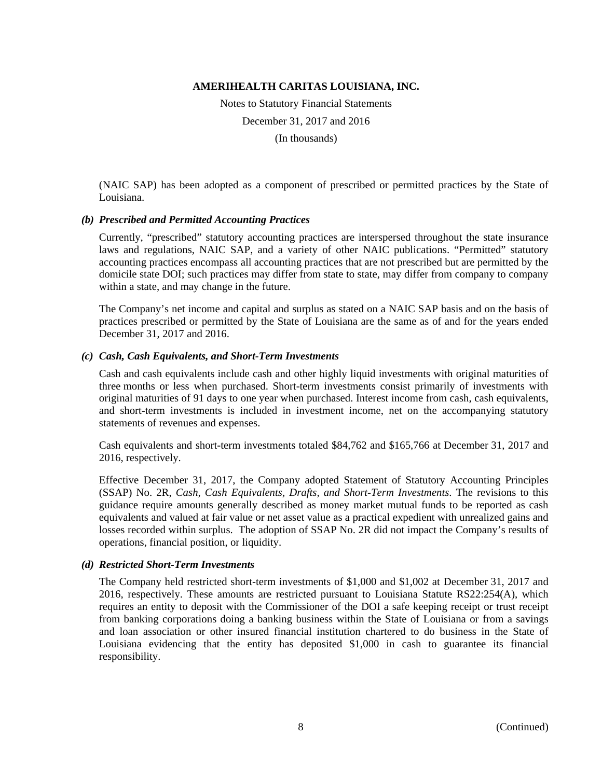Notes to Statutory Financial Statements December 31, 2017 and 2016 (In thousands)

(NAIC SAP) has been adopted as a component of prescribed or permitted practices by the State of Louisiana.

#### *(b) Prescribed and Permitted Accounting Practices*

Currently, "prescribed" statutory accounting practices are interspersed throughout the state insurance laws and regulations, NAIC SAP, and a variety of other NAIC publications. "Permitted" statutory accounting practices encompass all accounting practices that are not prescribed but are permitted by the domicile state DOI; such practices may differ from state to state, may differ from company to company within a state, and may change in the future.

The Company's net income and capital and surplus as stated on a NAIC SAP basis and on the basis of practices prescribed or permitted by the State of Louisiana are the same as of and for the years ended December 31, 2017 and 2016.

#### *(c) Cash, Cash Equivalents, and Short-Term Investments*

Cash and cash equivalents include cash and other highly liquid investments with original maturities of three months or less when purchased. Short-term investments consist primarily of investments with original maturities of 91 days to one year when purchased. Interest income from cash, cash equivalents, and short-term investments is included in investment income, net on the accompanying statutory statements of revenues and expenses.

Cash equivalents and short-term investments totaled \$84,762 and \$165,766 at December 31, 2017 and 2016, respectively.

Effective December 31, 2017, the Company adopted Statement of Statutory Accounting Principles (SSAP) No. 2R, *Cash, Cash Equivalents, Drafts, and Short-Term Investments*. The revisions to this guidance require amounts generally described as money market mutual funds to be reported as cash equivalents and valued at fair value or net asset value as a practical expedient with unrealized gains and losses recorded within surplus. The adoption of SSAP No. 2R did not impact the Company's results of operations, financial position, or liquidity.

#### *(d) Restricted Short-Term Investments*

The Company held restricted short-term investments of \$1,000 and \$1,002 at December 31, 2017 and 2016, respectively. These amounts are restricted pursuant to Louisiana Statute RS22:254(A), which requires an entity to deposit with the Commissioner of the DOI a safe keeping receipt or trust receipt from banking corporations doing a banking business within the State of Louisiana or from a savings and loan association or other insured financial institution chartered to do business in the State of Louisiana evidencing that the entity has deposited \$1,000 in cash to guarantee its financial responsibility.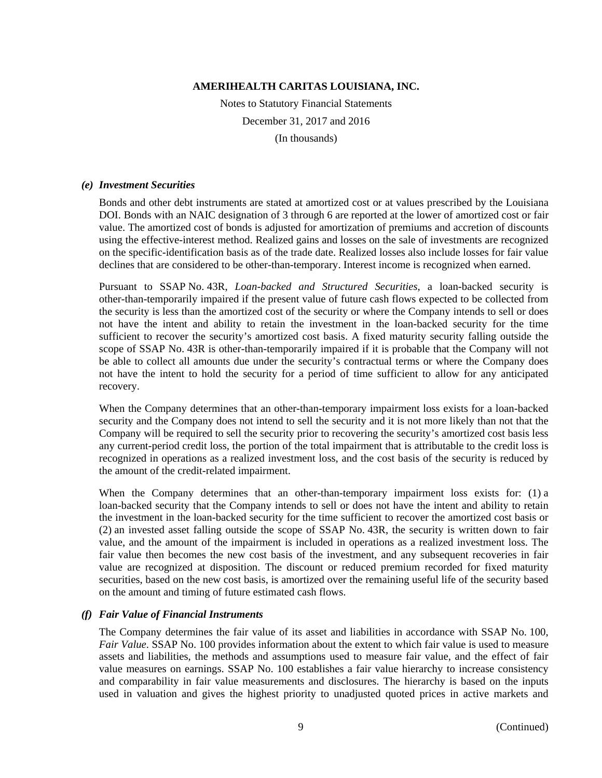Notes to Statutory Financial Statements December 31, 2017 and 2016 (In thousands)

#### *(e) Investment Securities*

Bonds and other debt instruments are stated at amortized cost or at values prescribed by the Louisiana DOI. Bonds with an NAIC designation of 3 through 6 are reported at the lower of amortized cost or fair value. The amortized cost of bonds is adjusted for amortization of premiums and accretion of discounts using the effective-interest method. Realized gains and losses on the sale of investments are recognized on the specific-identification basis as of the trade date. Realized losses also include losses for fair value declines that are considered to be other-than-temporary. Interest income is recognized when earned.

Pursuant to SSAP No. 43R, *Loan-backed and Structured Securities*, a loan-backed security is other-than-temporarily impaired if the present value of future cash flows expected to be collected from the security is less than the amortized cost of the security or where the Company intends to sell or does not have the intent and ability to retain the investment in the loan-backed security for the time sufficient to recover the security's amortized cost basis. A fixed maturity security falling outside the scope of SSAP No. 43R is other-than-temporarily impaired if it is probable that the Company will not be able to collect all amounts due under the security's contractual terms or where the Company does not have the intent to hold the security for a period of time sufficient to allow for any anticipated recovery.

When the Company determines that an other-than-temporary impairment loss exists for a loan-backed security and the Company does not intend to sell the security and it is not more likely than not that the Company will be required to sell the security prior to recovering the security's amortized cost basis less any current-period credit loss, the portion of the total impairment that is attributable to the credit loss is recognized in operations as a realized investment loss, and the cost basis of the security is reduced by the amount of the credit-related impairment.

When the Company determines that an other-than-temporary impairment loss exists for: (1) a loan-backed security that the Company intends to sell or does not have the intent and ability to retain the investment in the loan-backed security for the time sufficient to recover the amortized cost basis or (2) an invested asset falling outside the scope of SSAP No. 43R, the security is written down to fair value, and the amount of the impairment is included in operations as a realized investment loss. The fair value then becomes the new cost basis of the investment, and any subsequent recoveries in fair value are recognized at disposition. The discount or reduced premium recorded for fixed maturity securities, based on the new cost basis, is amortized over the remaining useful life of the security based on the amount and timing of future estimated cash flows.

#### *(f) Fair Value of Financial Instruments*

The Company determines the fair value of its asset and liabilities in accordance with SSAP No. 100, *Fair Value*. SSAP No. 100 provides information about the extent to which fair value is used to measure assets and liabilities, the methods and assumptions used to measure fair value, and the effect of fair value measures on earnings. SSAP No. 100 establishes a fair value hierarchy to increase consistency and comparability in fair value measurements and disclosures. The hierarchy is based on the inputs used in valuation and gives the highest priority to unadjusted quoted prices in active markets and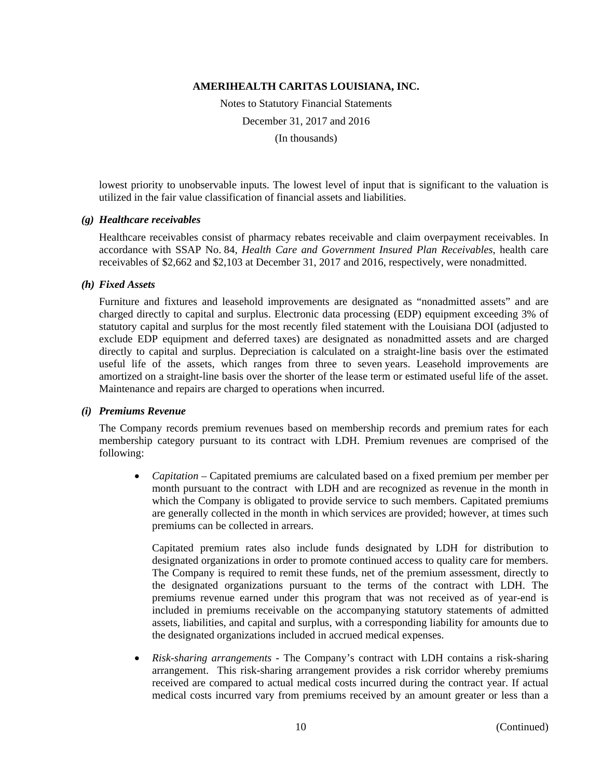Notes to Statutory Financial Statements December 31, 2017 and 2016 (In thousands)

lowest priority to unobservable inputs. The lowest level of input that is significant to the valuation is utilized in the fair value classification of financial assets and liabilities.

#### *(g) Healthcare receivables*

Healthcare receivables consist of pharmacy rebates receivable and claim overpayment receivables. In accordance with SSAP No. 84, *Health Care and Government Insured Plan Receivables*, health care receivables of \$2,662 and \$2,103 at December 31, 2017 and 2016, respectively, were nonadmitted.

#### *(h) Fixed Assets*

Furniture and fixtures and leasehold improvements are designated as "nonadmitted assets" and are charged directly to capital and surplus. Electronic data processing (EDP) equipment exceeding 3% of statutory capital and surplus for the most recently filed statement with the Louisiana DOI (adjusted to exclude EDP equipment and deferred taxes) are designated as nonadmitted assets and are charged directly to capital and surplus. Depreciation is calculated on a straight-line basis over the estimated useful life of the assets, which ranges from three to seven years. Leasehold improvements are amortized on a straight-line basis over the shorter of the lease term or estimated useful life of the asset. Maintenance and repairs are charged to operations when incurred.

#### *(i) Premiums Revenue*

The Company records premium revenues based on membership records and premium rates for each membership category pursuant to its contract with LDH. Premium revenues are comprised of the following:

 *Capitation –* Capitated premiums are calculated based on a fixed premium per member per month pursuant to the contract with LDH and are recognized as revenue in the month in which the Company is obligated to provide service to such members. Capitated premiums are generally collected in the month in which services are provided; however, at times such premiums can be collected in arrears.

Capitated premium rates also include funds designated by LDH for distribution to designated organizations in order to promote continued access to quality care for members. The Company is required to remit these funds, net of the premium assessment, directly to the designated organizations pursuant to the terms of the contract with LDH. The premiums revenue earned under this program that was not received as of year-end is included in premiums receivable on the accompanying statutory statements of admitted assets, liabilities, and capital and surplus, with a corresponding liability for amounts due to the designated organizations included in accrued medical expenses.

 *Risk-sharing arrangements -* The Company's contract with LDH contains a risk-sharing arrangement. This risk-sharing arrangement provides a risk corridor whereby premiums received are compared to actual medical costs incurred during the contract year. If actual medical costs incurred vary from premiums received by an amount greater or less than a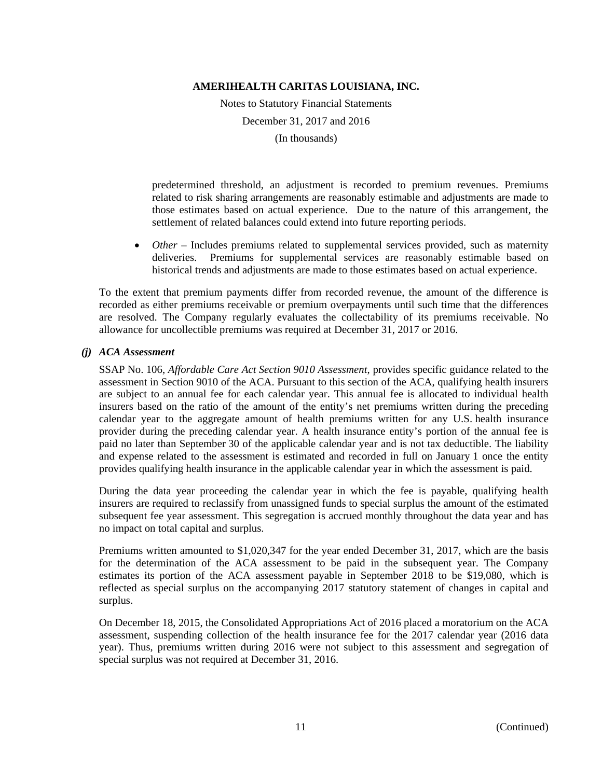Notes to Statutory Financial Statements December 31, 2017 and 2016 (In thousands)

predetermined threshold, an adjustment is recorded to premium revenues. Premiums related to risk sharing arrangements are reasonably estimable and adjustments are made to those estimates based on actual experience. Due to the nature of this arrangement, the settlement of related balances could extend into future reporting periods.

• *Other* – Includes premiums related to supplemental services provided, such as maternity deliveries. Premiums for supplemental services are reasonably estimable based on historical trends and adjustments are made to those estimates based on actual experience.

To the extent that premium payments differ from recorded revenue, the amount of the difference is recorded as either premiums receivable or premium overpayments until such time that the differences are resolved. The Company regularly evaluates the collectability of its premiums receivable. No allowance for uncollectible premiums was required at December 31, 2017 or 2016.

## *(j) ACA Assessment*

SSAP No. 106, *Affordable Care Act Section 9010 Assessment*, provides specific guidance related to the assessment in Section 9010 of the ACA. Pursuant to this section of the ACA, qualifying health insurers are subject to an annual fee for each calendar year. This annual fee is allocated to individual health insurers based on the ratio of the amount of the entity's net premiums written during the preceding calendar year to the aggregate amount of health premiums written for any U.S. health insurance provider during the preceding calendar year. A health insurance entity's portion of the annual fee is paid no later than September 30 of the applicable calendar year and is not tax deductible. The liability and expense related to the assessment is estimated and recorded in full on January 1 once the entity provides qualifying health insurance in the applicable calendar year in which the assessment is paid.

During the data year proceeding the calendar year in which the fee is payable, qualifying health insurers are required to reclassify from unassigned funds to special surplus the amount of the estimated subsequent fee year assessment. This segregation is accrued monthly throughout the data year and has no impact on total capital and surplus.

Premiums written amounted to \$1,020,347 for the year ended December 31, 2017, which are the basis for the determination of the ACA assessment to be paid in the subsequent year. The Company estimates its portion of the ACA assessment payable in September 2018 to be \$19,080, which is reflected as special surplus on the accompanying 2017 statutory statement of changes in capital and surplus.

On December 18, 2015, the Consolidated Appropriations Act of 2016 placed a moratorium on the ACA assessment, suspending collection of the health insurance fee for the 2017 calendar year (2016 data year). Thus, premiums written during 2016 were not subject to this assessment and segregation of special surplus was not required at December 31, 2016.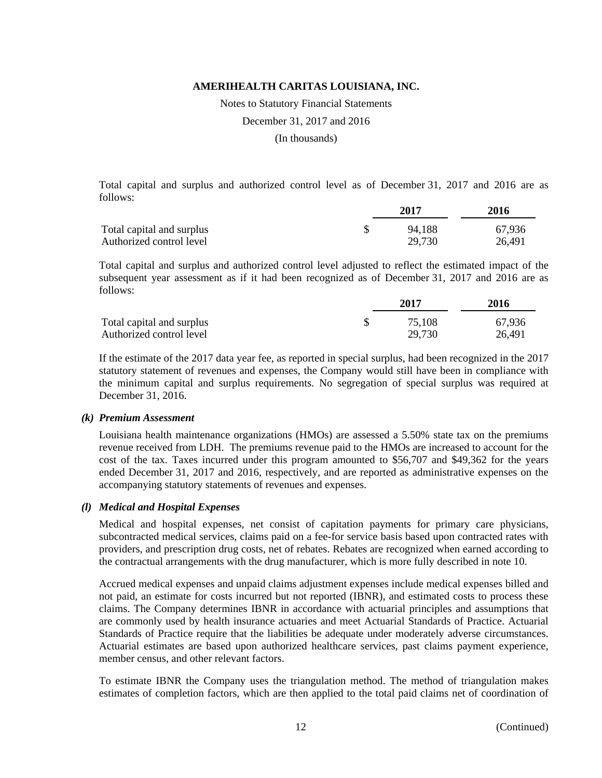Notes to Statutory Financial Statements

December 31, 2017 and 2016

(In thousands)

Total capital and surplus and authorized control level as of December 31, 2017 and 2016 are as follows:

|                           | 2017   | 2016   |
|---------------------------|--------|--------|
| Total capital and surplus | 94.188 | 67,936 |
| Authorized control level  | 29,730 | 26,491 |

Total capital and surplus and authorized control level adjusted to reflect the estimated impact of the subsequent year assessment as if it had been recognized as of December 31, 2017 and 2016 are as follows:

|                           | 2017   | 2016   |
|---------------------------|--------|--------|
| Total capital and surplus | 75.108 | 67,936 |
| Authorized control level  | 29,730 | 26,491 |

If the estimate of the 2017 data year fee, as reported in special surplus, had been recognized in the 2017 statutory statement of revenues and expenses, the Company would still have been in compliance with the minimum capital and surplus requirements. No segregation of special surplus was required at December 31, 2016.

#### *(k) Premium Assessment*

Louisiana health maintenance organizations (HMOs) are assessed a 5.50% state tax on the premiums revenue received from LDH. The premiums revenue paid to the HMOs are increased to account for the cost of the tax. Taxes incurred under this program amounted to \$56,707 and \$49,362 for the years ended December 31, 2017 and 2016, respectively, and are reported as administrative expenses on the accompanying statutory statements of revenues and expenses.

## *(l) Medical and Hospital Expenses*

Medical and hospital expenses, net consist of capitation payments for primary care physicians, subcontracted medical services, claims paid on a fee-for service basis based upon contracted rates with providers, and prescription drug costs, net of rebates. Rebates are recognized when earned according to the contractual arrangements with the drug manufacturer, which is more fully described in note 10.

Accrued medical expenses and unpaid claims adjustment expenses include medical expenses billed and not paid, an estimate for costs incurred but not reported (IBNR), and estimated costs to process these claims. The Company determines IBNR in accordance with actuarial principles and assumptions that are commonly used by health insurance actuaries and meet Actuarial Standards of Practice. Actuarial Standards of Practice require that the liabilities be adequate under moderately adverse circumstances. Actuarial estimates are based upon authorized healthcare services, past claims payment experience, member census, and other relevant factors.

To estimate IBNR the Company uses the triangulation method. The method of triangulation makes estimates of completion factors, which are then applied to the total paid claims net of coordination of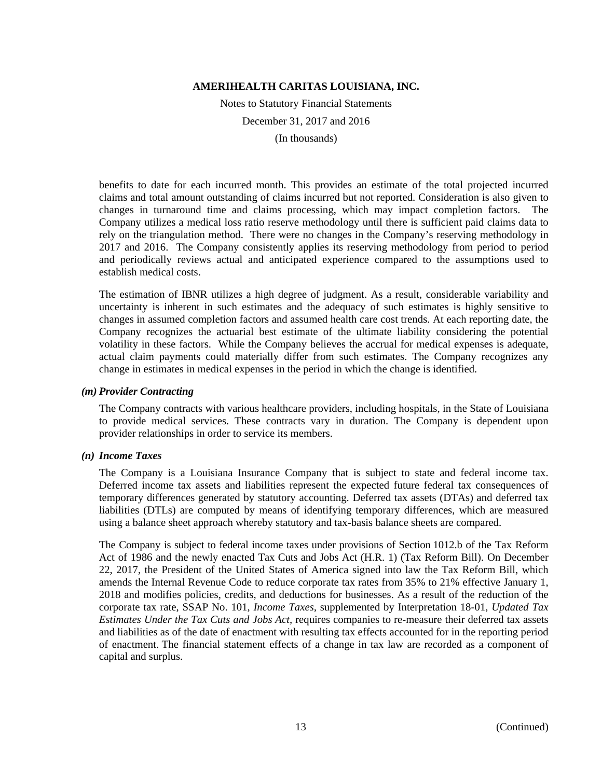Notes to Statutory Financial Statements December 31, 2017 and 2016 (In thousands)

benefits to date for each incurred month. This provides an estimate of the total projected incurred claims and total amount outstanding of claims incurred but not reported. Consideration is also given to changes in turnaround time and claims processing, which may impact completion factors. The Company utilizes a medical loss ratio reserve methodology until there is sufficient paid claims data to rely on the triangulation method. There were no changes in the Company's reserving methodology in 2017 and 2016. The Company consistently applies its reserving methodology from period to period and periodically reviews actual and anticipated experience compared to the assumptions used to establish medical costs.

The estimation of IBNR utilizes a high degree of judgment. As a result, considerable variability and uncertainty is inherent in such estimates and the adequacy of such estimates is highly sensitive to changes in assumed completion factors and assumed health care cost trends. At each reporting date, the Company recognizes the actuarial best estimate of the ultimate liability considering the potential volatility in these factors. While the Company believes the accrual for medical expenses is adequate, actual claim payments could materially differ from such estimates. The Company recognizes any change in estimates in medical expenses in the period in which the change is identified.

#### *(m) Provider Contracting*

The Company contracts with various healthcare providers, including hospitals, in the State of Louisiana to provide medical services. These contracts vary in duration. The Company is dependent upon provider relationships in order to service its members.

#### *(n) Income Taxes*

The Company is a Louisiana Insurance Company that is subject to state and federal income tax. Deferred income tax assets and liabilities represent the expected future federal tax consequences of temporary differences generated by statutory accounting. Deferred tax assets (DTAs) and deferred tax liabilities (DTLs) are computed by means of identifying temporary differences, which are measured using a balance sheet approach whereby statutory and tax-basis balance sheets are compared.

The Company is subject to federal income taxes under provisions of Section 1012.b of the Tax Reform Act of 1986 and the newly enacted Tax Cuts and Jobs Act (H.R. 1) (Tax Reform Bill). On December 22, 2017, the President of the United States of America signed into law the Tax Reform Bill, which amends the Internal Revenue Code to reduce corporate tax rates from 35% to 21% effective January 1, 2018 and modifies policies, credits, and deductions for businesses. As a result of the reduction of the corporate tax rate, SSAP No. 101, *Income Taxes,* supplemented by Interpretation 18-01, *Updated Tax Estimates Under the Tax Cuts and Jobs Act,* requires companies to re-measure their deferred tax assets and liabilities as of the date of enactment with resulting tax effects accounted for in the reporting period of enactment. The financial statement effects of a change in tax law are recorded as a component of capital and surplus.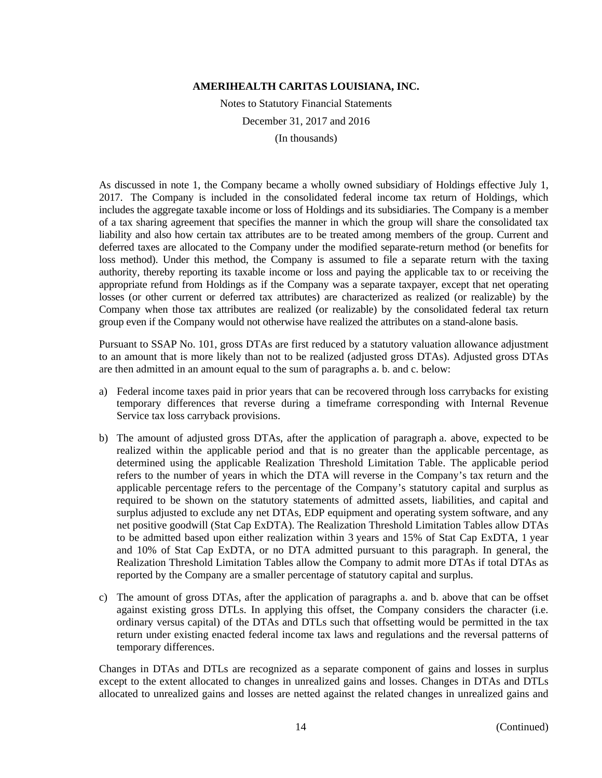Notes to Statutory Financial Statements December 31, 2017 and 2016 (In thousands)

As discussed in note 1, the Company became a wholly owned subsidiary of Holdings effective July 1, 2017. The Company is included in the consolidated federal income tax return of Holdings, which includes the aggregate taxable income or loss of Holdings and its subsidiaries. The Company is a member of a tax sharing agreement that specifies the manner in which the group will share the consolidated tax liability and also how certain tax attributes are to be treated among members of the group. Current and deferred taxes are allocated to the Company under the modified separate-return method (or benefits for loss method). Under this method, the Company is assumed to file a separate return with the taxing authority, thereby reporting its taxable income or loss and paying the applicable tax to or receiving the appropriate refund from Holdings as if the Company was a separate taxpayer, except that net operating losses (or other current or deferred tax attributes) are characterized as realized (or realizable) by the Company when those tax attributes are realized (or realizable) by the consolidated federal tax return group even if the Company would not otherwise have realized the attributes on a stand-alone basis.

Pursuant to SSAP No. 101, gross DTAs are first reduced by a statutory valuation allowance adjustment to an amount that is more likely than not to be realized (adjusted gross DTAs). Adjusted gross DTAs are then admitted in an amount equal to the sum of paragraphs a. b. and c. below:

- a) Federal income taxes paid in prior years that can be recovered through loss carrybacks for existing temporary differences that reverse during a timeframe corresponding with Internal Revenue Service tax loss carryback provisions.
- b) The amount of adjusted gross DTAs, after the application of paragraph a. above, expected to be realized within the applicable period and that is no greater than the applicable percentage, as determined using the applicable Realization Threshold Limitation Table. The applicable period refers to the number of years in which the DTA will reverse in the Company's tax return and the applicable percentage refers to the percentage of the Company's statutory capital and surplus as required to be shown on the statutory statements of admitted assets, liabilities, and capital and surplus adjusted to exclude any net DTAs, EDP equipment and operating system software, and any net positive goodwill (Stat Cap ExDTA). The Realization Threshold Limitation Tables allow DTAs to be admitted based upon either realization within 3 years and 15% of Stat Cap ExDTA, 1 year and 10% of Stat Cap ExDTA, or no DTA admitted pursuant to this paragraph. In general, the Realization Threshold Limitation Tables allow the Company to admit more DTAs if total DTAs as reported by the Company are a smaller percentage of statutory capital and surplus.
- c) The amount of gross DTAs, after the application of paragraphs a. and b. above that can be offset against existing gross DTLs. In applying this offset, the Company considers the character (i.e. ordinary versus capital) of the DTAs and DTLs such that offsetting would be permitted in the tax return under existing enacted federal income tax laws and regulations and the reversal patterns of temporary differences.

Changes in DTAs and DTLs are recognized as a separate component of gains and losses in surplus except to the extent allocated to changes in unrealized gains and losses. Changes in DTAs and DTLs allocated to unrealized gains and losses are netted against the related changes in unrealized gains and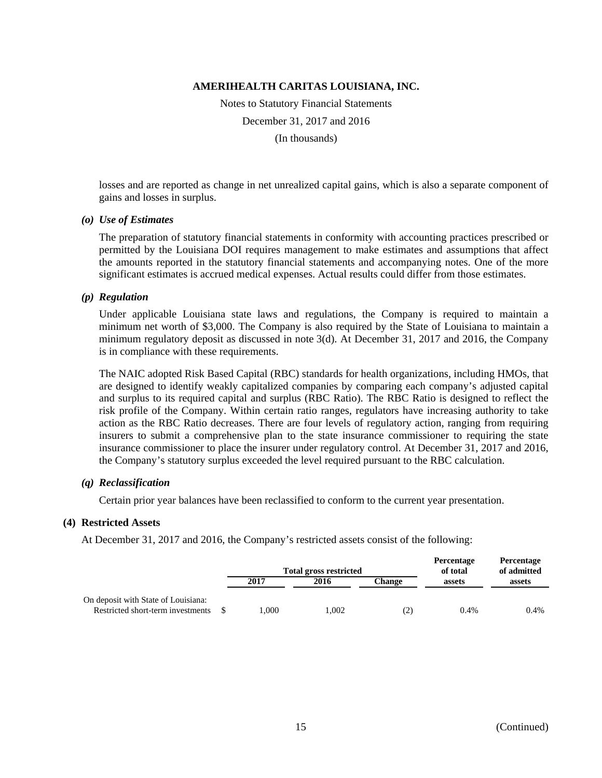Notes to Statutory Financial Statements December 31, 2017 and 2016 (In thousands)

losses and are reported as change in net unrealized capital gains, which is also a separate component of gains and losses in surplus.

#### *(o) Use of Estimates*

The preparation of statutory financial statements in conformity with accounting practices prescribed or permitted by the Louisiana DOI requires management to make estimates and assumptions that affect the amounts reported in the statutory financial statements and accompanying notes. One of the more significant estimates is accrued medical expenses. Actual results could differ from those estimates.

#### *(p) Regulation*

Under applicable Louisiana state laws and regulations, the Company is required to maintain a minimum net worth of \$3,000. The Company is also required by the State of Louisiana to maintain a minimum regulatory deposit as discussed in note 3(d). At December 31, 2017 and 2016, the Company is in compliance with these requirements.

The NAIC adopted Risk Based Capital (RBC) standards for health organizations, including HMOs, that are designed to identify weakly capitalized companies by comparing each company's adjusted capital and surplus to its required capital and surplus (RBC Ratio). The RBC Ratio is designed to reflect the risk profile of the Company. Within certain ratio ranges, regulators have increasing authority to take action as the RBC Ratio decreases. There are four levels of regulatory action, ranging from requiring insurers to submit a comprehensive plan to the state insurance commissioner to requiring the state insurance commissioner to place the insurer under regulatory control. At December 31, 2017 and 2016, the Company's statutory surplus exceeded the level required pursuant to the RBC calculation.

#### *(q) Reclassification*

Certain prior year balances have been reclassified to conform to the current year presentation.

#### **(4) Restricted Assets**

At December 31, 2017 and 2016, the Company's restricted assets consist of the following:

|                                                                          | <b>Total gross restricted</b> |       |                   | <b>Percentage</b><br>of total | <b>Percentage</b><br>of admitted |
|--------------------------------------------------------------------------|-------------------------------|-------|-------------------|-------------------------------|----------------------------------|
|                                                                          | 2017                          | 2016  | Change            | assets                        | assets                           |
| On deposit with State of Louisiana:<br>Restricted short-term investments | .000.                         | 1.002 | $\left( 2\right)$ | 0.4%                          | 0.4%                             |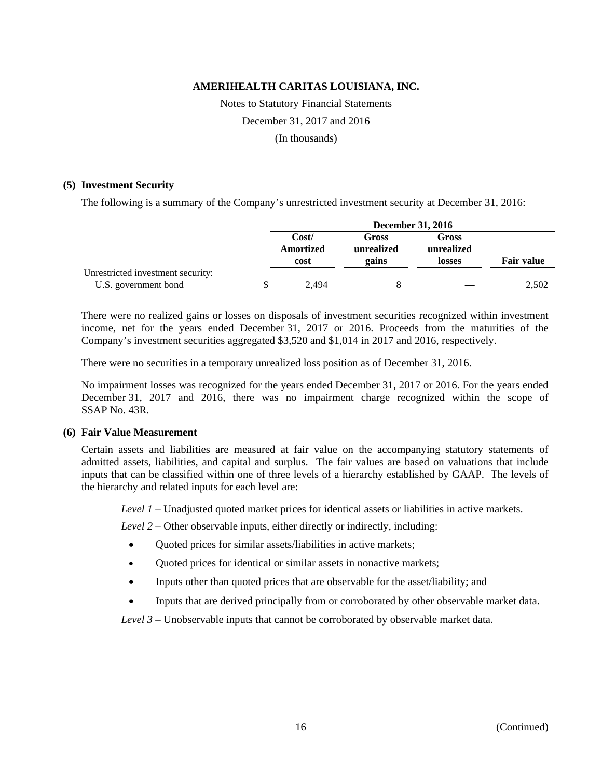Notes to Statutory Financial Statements December 31, 2017 and 2016

(In thousands)

#### **(5) Investment Security**

The following is a summary of the Company's unrestricted investment security at December 31, 2016:

|                                   | December 31, 2016                 |                                     |                               |                   |
|-----------------------------------|-----------------------------------|-------------------------------------|-------------------------------|-------------------|
|                                   | Cost/<br><b>Amortized</b><br>cost | <b>Gross</b><br>unrealized<br>gains | Gross<br>unrealized<br>losses | <b>Fair value</b> |
| Unrestricted investment security: |                                   |                                     |                               |                   |
| U.S. government bond              | 2.494                             |                                     |                               | 2,502             |

There were no realized gains or losses on disposals of investment securities recognized within investment income, net for the years ended December 31, 2017 or 2016. Proceeds from the maturities of the Company's investment securities aggregated \$3,520 and \$1,014 in 2017 and 2016, respectively.

There were no securities in a temporary unrealized loss position as of December 31, 2016.

No impairment losses was recognized for the years ended December 31, 2017 or 2016. For the years ended December 31, 2017 and 2016, there was no impairment charge recognized within the scope of SSAP No. 43R.

## **(6) Fair Value Measurement**

Certain assets and liabilities are measured at fair value on the accompanying statutory statements of admitted assets, liabilities, and capital and surplus. The fair values are based on valuations that include inputs that can be classified within one of three levels of a hierarchy established by GAAP. The levels of the hierarchy and related inputs for each level are:

*Level 1* – Unadjusted quoted market prices for identical assets or liabilities in active markets.

*Level 2* – Other observable inputs, either directly or indirectly, including:

- Quoted prices for similar assets/liabilities in active markets;
- Quoted prices for identical or similar assets in nonactive markets;
- Inputs other than quoted prices that are observable for the asset/liability; and
- Inputs that are derived principally from or corroborated by other observable market data.

*Level 3* – Unobservable inputs that cannot be corroborated by observable market data.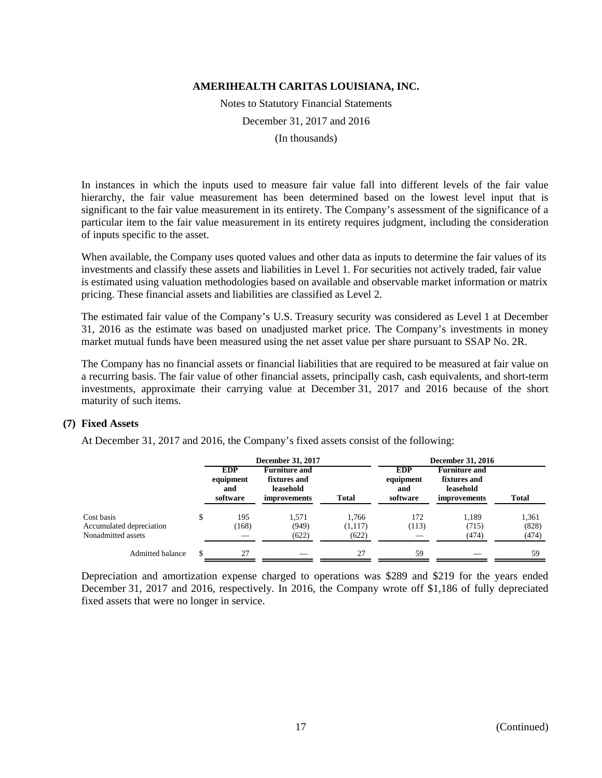Notes to Statutory Financial Statements December 31, 2017 and 2016 (In thousands)

In instances in which the inputs used to measure fair value fall into different levels of the fair value hierarchy, the fair value measurement has been determined based on the lowest level input that is significant to the fair value measurement in its entirety. The Company's assessment of the significance of a particular item to the fair value measurement in its entirety requires judgment, including the consideration of inputs specific to the asset.

When available, the Company uses quoted values and other data as inputs to determine the fair values of its investments and classify these assets and liabilities in Level 1. For securities not actively traded, fair value is estimated using valuation methodologies based on available and observable market information or matrix pricing. These financial assets and liabilities are classified as Level 2.

The estimated fair value of the Company's U.S. Treasury security was considered as Level 1 at December 31, 2016 as the estimate was based on unadjusted market price. The Company's investments in money market mutual funds have been measured using the net asset value per share pursuant to SSAP No. 2R.

The Company has no financial assets or financial liabilities that are required to be measured at fair value on a recurring basis. The fair value of other financial assets, principally cash, cash equivalents, and short-term investments, approximate their carrying value at December 31, 2017 and 2016 because of the short maturity of such items.

## **(7) Fixed Assets**

At December 31, 2017 and 2016, the Company's fixed assets consist of the following:

|                                                              | December 31, 2017                          |                                                                          |                           |                                            | <b>December 31, 2016</b>                                          |                         |
|--------------------------------------------------------------|--------------------------------------------|--------------------------------------------------------------------------|---------------------------|--------------------------------------------|-------------------------------------------------------------------|-------------------------|
|                                                              | <b>EDP</b><br>equipment<br>and<br>software | <b>Furniture and</b><br>fixtures and<br>leasehold<br><i>improvements</i> | <b>Total</b>              | <b>EDP</b><br>equipment<br>and<br>software | <b>Furniture and</b><br>fixtures and<br>leasehold<br>improvements | <b>Total</b>            |
| Cost basis<br>Accumulated depreciation<br>Nonadmitted assets | 195<br>(168)                               | 1.571<br>(949)<br>(622)                                                  | 1,766<br>(1,117)<br>(622) | 172<br>(113)                               | 1.189<br>(715)<br>(474)                                           | 1,361<br>(828)<br>(474) |
| Admitted balance                                             | 27                                         |                                                                          | 27                        | 59                                         |                                                                   | 59                      |

Depreciation and amortization expense charged to operations was \$289 and \$219 for the years ended December 31, 2017 and 2016, respectively. In 2016, the Company wrote off \$1,186 of fully depreciated fixed assets that were no longer in service.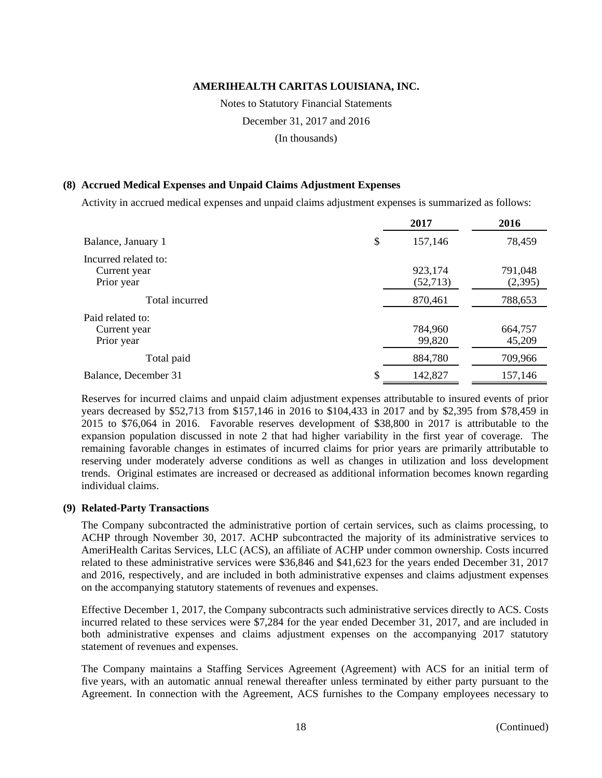Notes to Statutory Financial Statements

December 31, 2017 and 2016

(In thousands)

## **(8) Accrued Medical Expenses and Unpaid Claims Adjustment Expenses**

Activity in accrued medical expenses and unpaid claims adjustment expenses is summarized as follows:

|                                                    | 2017                 | 2016               |
|----------------------------------------------------|----------------------|--------------------|
| Balance, January 1                                 | \$<br>157,146        | 78,459             |
| Incurred related to:<br>Current year<br>Prior year | 923,174<br>(52, 713) | 791,048<br>(2,395) |
| Total incurred                                     | 870,461              | 788,653            |
| Paid related to:<br>Current year<br>Prior year     | 784,960<br>99,820    | 664,757<br>45,209  |
| Total paid                                         | 884,780              | 709,966            |
| Balance, December 31                               | \$<br>142,827        | 157,146            |

Reserves for incurred claims and unpaid claim adjustment expenses attributable to insured events of prior years decreased by \$52,713 from \$157,146 in 2016 to \$104,433 in 2017 and by \$2,395 from \$78,459 in 2015 to \$76,064 in 2016. Favorable reserves development of \$38,800 in 2017 is attributable to the expansion population discussed in note 2 that had higher variability in the first year of coverage. The remaining favorable changes in estimates of incurred claims for prior years are primarily attributable to reserving under moderately adverse conditions as well as changes in utilization and loss development trends. Original estimates are increased or decreased as additional information becomes known regarding individual claims.

#### **(9) Related-Party Transactions**

The Company subcontracted the administrative portion of certain services, such as claims processing, to ACHP through November 30, 2017. ACHP subcontracted the majority of its administrative services to AmeriHealth Caritas Services, LLC (ACS), an affiliate of ACHP under common ownership. Costs incurred related to these administrative services were \$36,846 and \$41,623 for the years ended December 31, 2017 and 2016, respectively, and are included in both administrative expenses and claims adjustment expenses on the accompanying statutory statements of revenues and expenses.

Effective December 1, 2017, the Company subcontracts such administrative services directly to ACS. Costs incurred related to these services were \$7,284 for the year ended December 31, 2017, and are included in both administrative expenses and claims adjustment expenses on the accompanying 2017 statutory statement of revenues and expenses.

The Company maintains a Staffing Services Agreement (Agreement) with ACS for an initial term of five years, with an automatic annual renewal thereafter unless terminated by either party pursuant to the Agreement. In connection with the Agreement, ACS furnishes to the Company employees necessary to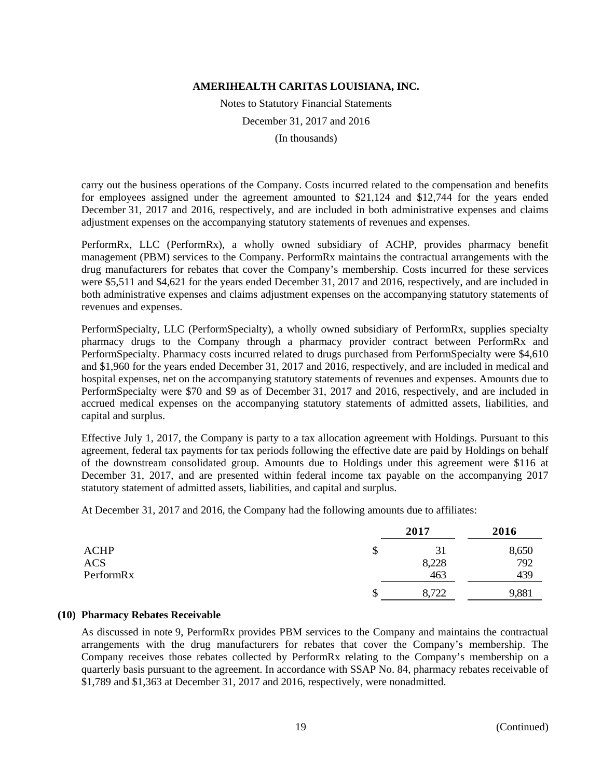Notes to Statutory Financial Statements December 31, 2017 and 2016 (In thousands)

carry out the business operations of the Company. Costs incurred related to the compensation and benefits for employees assigned under the agreement amounted to \$21,124 and \$12,744 for the years ended December 31, 2017 and 2016, respectively, and are included in both administrative expenses and claims adjustment expenses on the accompanying statutory statements of revenues and expenses.

PerformRx, LLC (PerformRx), a wholly owned subsidiary of ACHP, provides pharmacy benefit management (PBM) services to the Company. PerformRx maintains the contractual arrangements with the drug manufacturers for rebates that cover the Company's membership. Costs incurred for these services were \$5,511 and \$4,621 for the years ended December 31, 2017 and 2016, respectively, and are included in both administrative expenses and claims adjustment expenses on the accompanying statutory statements of revenues and expenses.

PerformSpecialty, LLC (PerformSpecialty), a wholly owned subsidiary of PerformRx, supplies specialty pharmacy drugs to the Company through a pharmacy provider contract between PerformRx and PerformSpecialty. Pharmacy costs incurred related to drugs purchased from PerformSpecialty were \$4,610 and \$1,960 for the years ended December 31, 2017 and 2016, respectively, and are included in medical and hospital expenses, net on the accompanying statutory statements of revenues and expenses. Amounts due to PerformSpecialty were \$70 and \$9 as of December 31, 2017 and 2016, respectively, and are included in accrued medical expenses on the accompanying statutory statements of admitted assets, liabilities, and capital and surplus.

Effective July 1, 2017, the Company is party to a tax allocation agreement with Holdings. Pursuant to this agreement, federal tax payments for tax periods following the effective date are paid by Holdings on behalf of the downstream consolidated group. Amounts due to Holdings under this agreement were \$116 at December 31, 2017, and are presented within federal income tax payable on the accompanying 2017 statutory statement of admitted assets, liabilities, and capital and surplus.

At December 31, 2017 and 2016, the Company had the following amounts due to affiliates:

|             |    | 2017  | 2016  |
|-------------|----|-------|-------|
| <b>ACHP</b> | J) | 31    | 8,650 |
| <b>ACS</b>  |    | 8,228 | 792   |
| PerformRx   |    | 463   | 439   |
|             | ۰D | 8,722 | 9,881 |

#### **(10) Pharmacy Rebates Receivable**

As discussed in note 9, PerformRx provides PBM services to the Company and maintains the contractual arrangements with the drug manufacturers for rebates that cover the Company's membership. The Company receives those rebates collected by PerformRx relating to the Company's membership on a quarterly basis pursuant to the agreement. In accordance with SSAP No. 84, pharmacy rebates receivable of \$1,789 and \$1,363 at December 31, 2017 and 2016, respectively, were nonadmitted.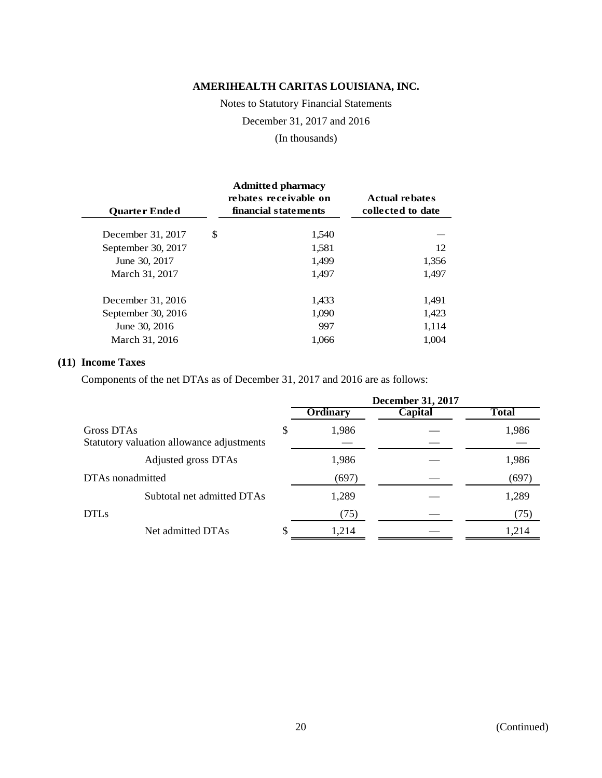Notes to Statutory Financial Statements December 31, 2017 and 2016

(In thousands)

| <b>Ouarter Ended</b>    | <b>Admitted pharmacy</b><br>rebates receivable on<br>financial statements | <b>Actual rebates</b><br>collected to date |
|-------------------------|---------------------------------------------------------------------------|--------------------------------------------|
| \$<br>December 31, 2017 | 1,540                                                                     |                                            |
| September 30, 2017      | 1,581                                                                     | 12                                         |
| June 30, 2017           | 1,499                                                                     | 1,356                                      |
| March 31, 2017          | 1,497                                                                     | 1,497                                      |
| December 31, 2016       | 1,433                                                                     | 1,491                                      |
| September 30, 2016      | 1,090                                                                     | 1,423                                      |
| June 30, 2016           | 997                                                                       | 1,114                                      |
| March 31, 2016          | 1,066                                                                     | 1,004                                      |

## **(11) Income Taxes**

Components of the net DTAs as of December 31, 2017 and 2016 are as follows:

|                                                         | <b>December 31, 2017</b> |                |              |  |
|---------------------------------------------------------|--------------------------|----------------|--------------|--|
|                                                         | <b>Ordinary</b>          | <b>Capital</b> | <b>Total</b> |  |
| Gross DTAs<br>Statutory valuation allowance adjustments | \$<br>1,986              |                | 1,986        |  |
| Adjusted gross DTAs                                     | 1,986                    |                | 1,986        |  |
| DTAs nonadmitted                                        | (697)                    |                | (697)        |  |
| Subtotal net admitted DTAs                              | 1,289                    |                | 1,289        |  |
| <b>DTLs</b>                                             | (75)                     |                | (75)         |  |
| Net admitted DTAs                                       | 1,214                    |                | 1,214        |  |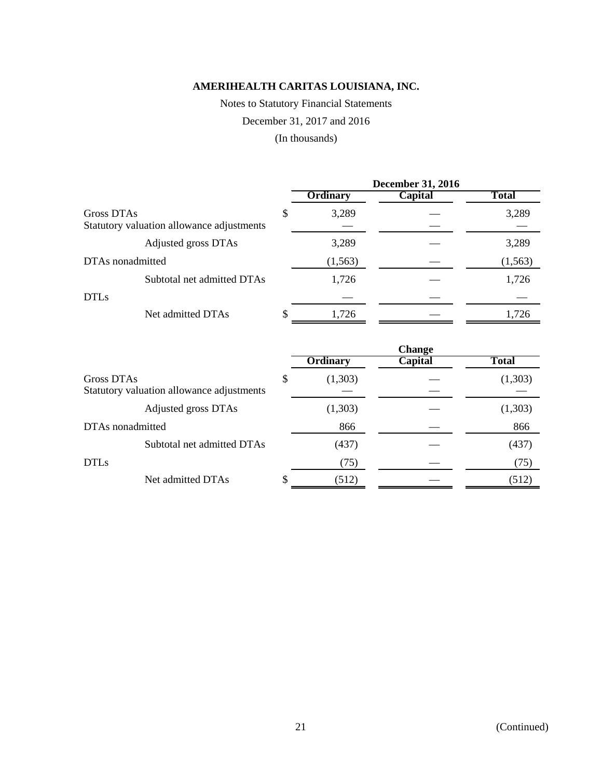Notes to Statutory Financial Statements

December 31, 2017 and 2016

(In thousands)

|                                           |  | <b>December 31, 2016</b> |         |              |  |
|-------------------------------------------|--|--------------------------|---------|--------------|--|
|                                           |  | <b>Ordinary</b>          | Capital | <b>Total</b> |  |
| Gross DTAs                                |  | 3,289                    |         | 3,289        |  |
| Statutory valuation allowance adjustments |  |                          |         |              |  |
| Adjusted gross DTAs                       |  | 3,289                    |         | 3,289        |  |
| DTAs nonadmitted                          |  | (1, 563)                 |         | (1, 563)     |  |
| Subtotal net admitted DTAs                |  | 1,726                    |         | 1,726        |  |
| <b>DTLs</b>                               |  |                          |         |              |  |
| Net admitted DTAs                         |  | 1,726                    |         | 1,726        |  |
|                                           |  |                          |         |              |  |

|                                           | <b>Change</b>   |         |              |  |
|-------------------------------------------|-----------------|---------|--------------|--|
|                                           | <b>Ordinary</b> | Capital | <b>Total</b> |  |
| Gross DTAs                                | \$<br>(1,303)   |         | (1,303)      |  |
| Statutory valuation allowance adjustments |                 |         |              |  |
| Adjusted gross DTAs                       | (1,303)         |         | (1,303)      |  |
| DTAs nonadmitted                          | 866             |         | 866          |  |
| Subtotal net admitted DTAs                | (437)           |         | (437)        |  |
| <b>DTLs</b>                               | (75)            |         | (75)         |  |
| Net admitted DTAs                         | (512)           |         | (512)        |  |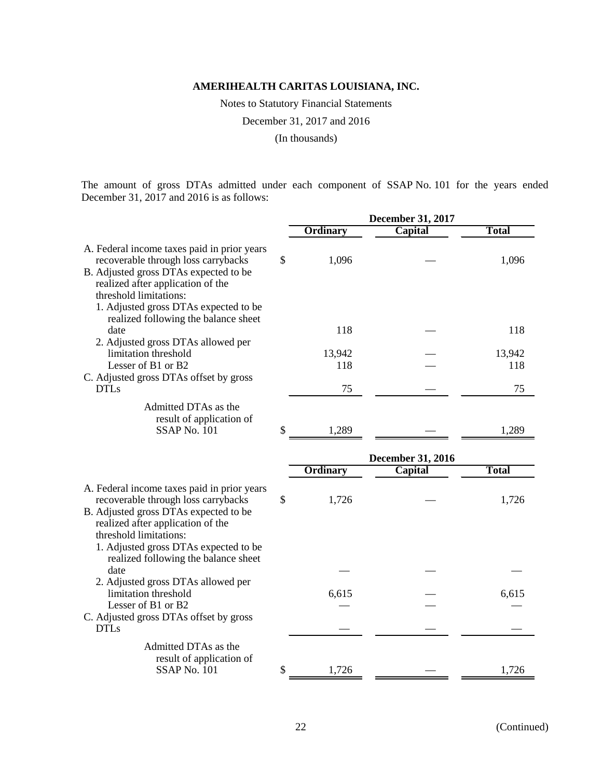Notes to Statutory Financial Statements

December 31, 2017 and 2016

(In thousands)

The amount of gross DTAs admitted under each component of SSAP No. 101 for the years ended December 31, 2017 and 2016 is as follows:

|                                                                                                                                                                                                                                     | December 31, 2017 |                   |               |  |  |
|-------------------------------------------------------------------------------------------------------------------------------------------------------------------------------------------------------------------------------------|-------------------|-------------------|---------------|--|--|
|                                                                                                                                                                                                                                     | <b>Ordinary</b>   | <b>Capital</b>    | <b>Total</b>  |  |  |
| A. Federal income taxes paid in prior years<br>recoverable through loss carrybacks<br>B. Adjusted gross DTAs expected to be<br>realized after application of the<br>threshold limitations:<br>1. Adjusted gross DTAs expected to be | \$<br>1,096       |                   | 1,096         |  |  |
| realized following the balance sheet<br>date                                                                                                                                                                                        | 118               |                   | 118           |  |  |
| 2. Adjusted gross DTAs allowed per<br>limitation threshold<br>Lesser of B1 or B2<br>C. Adjusted gross DTAs offset by gross                                                                                                          | 13,942<br>118     |                   | 13,942<br>118 |  |  |
| <b>DTLs</b>                                                                                                                                                                                                                         | 75                |                   | 75            |  |  |
| Admitted DTAs as the<br>result of application of<br>SSAP No. 101                                                                                                                                                                    | \$<br>1,289       |                   | 1,289         |  |  |
|                                                                                                                                                                                                                                     |                   | December 31, 2016 |               |  |  |
|                                                                                                                                                                                                                                     | <b>Ordinary</b>   | Capital           | <b>Total</b>  |  |  |
| A. Federal income taxes paid in prior years<br>recoverable through loss carrybacks<br>B. Adjusted gross DTAs expected to be<br>realized after application of the<br>threshold limitations:<br>1. Adjusted gross DTAs expected to be | \$<br>1,726       |                   | 1,726         |  |  |
| realized following the balance sheet<br>date                                                                                                                                                                                        |                   |                   |               |  |  |
| 2. Adjusted gross DTAs allowed per<br>limitation threshold<br>Lesser of B1 or B2                                                                                                                                                    | 6,615             |                   | 6,615         |  |  |
| C. Adjusted gross DTAs offset by gross<br><b>DTLs</b>                                                                                                                                                                               |                   |                   |               |  |  |
| Admitted DTAs as the<br>result of application of<br>SSAP No. 101                                                                                                                                                                    | \$<br>1,726       |                   | 1,726         |  |  |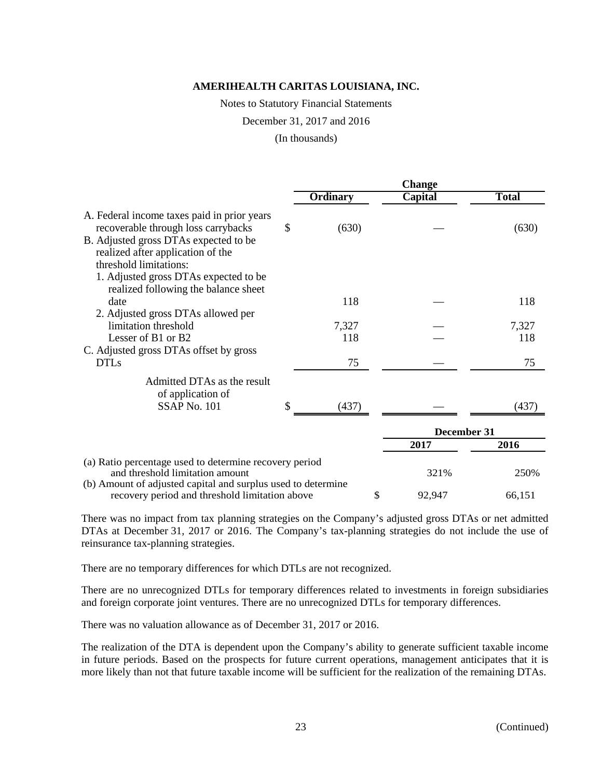Notes to Statutory Financial Statements

December 31, 2017 and 2016

(In thousands)

|                                                                                                                                                                                            |    | <b>Change</b> |             |              |
|--------------------------------------------------------------------------------------------------------------------------------------------------------------------------------------------|----|---------------|-------------|--------------|
|                                                                                                                                                                                            |    | Ordinary      | Capital     | <b>Total</b> |
| A. Federal income taxes paid in prior years<br>recoverable through loss carrybacks<br>B. Adjusted gross DTAs expected to be<br>realized after application of the<br>threshold limitations: | \$ | (630)         |             | (630)        |
| 1. Adjusted gross DTAs expected to be<br>realized following the balance sheet<br>date<br>2. Adjusted gross DTAs allowed per                                                                |    | 118           |             | 118          |
| limitation threshold<br>Lesser of B1 or B2                                                                                                                                                 |    | 7,327<br>118  |             | 7,327<br>118 |
| C. Adjusted gross DTAs offset by gross<br><b>DTLs</b>                                                                                                                                      |    | 75            |             | 75           |
| Admitted DTAs as the result<br>of application of<br>SSAP No. 101                                                                                                                           | \$ | (437)         |             | (437)        |
|                                                                                                                                                                                            |    |               | December 31 |              |
|                                                                                                                                                                                            |    |               | 2017        | 2016         |
| (a) Ratio percentage used to determine recovery period<br>and threshold limitation amount<br>(b) Amount of adjusted capital and surplus used to determine                                  |    |               | 321%        | 250%         |
| recovery period and threshold limitation above                                                                                                                                             |    | \$            | 92,947      | 66,151       |

There was no impact from tax planning strategies on the Company's adjusted gross DTAs or net admitted DTAs at December 31, 2017 or 2016. The Company's tax-planning strategies do not include the use of reinsurance tax-planning strategies.

There are no temporary differences for which DTLs are not recognized.

There are no unrecognized DTLs for temporary differences related to investments in foreign subsidiaries and foreign corporate joint ventures. There are no unrecognized DTLs for temporary differences.

There was no valuation allowance as of December 31, 2017 or 2016.

The realization of the DTA is dependent upon the Company's ability to generate sufficient taxable income in future periods. Based on the prospects for future current operations, management anticipates that it is more likely than not that future taxable income will be sufficient for the realization of the remaining DTAs.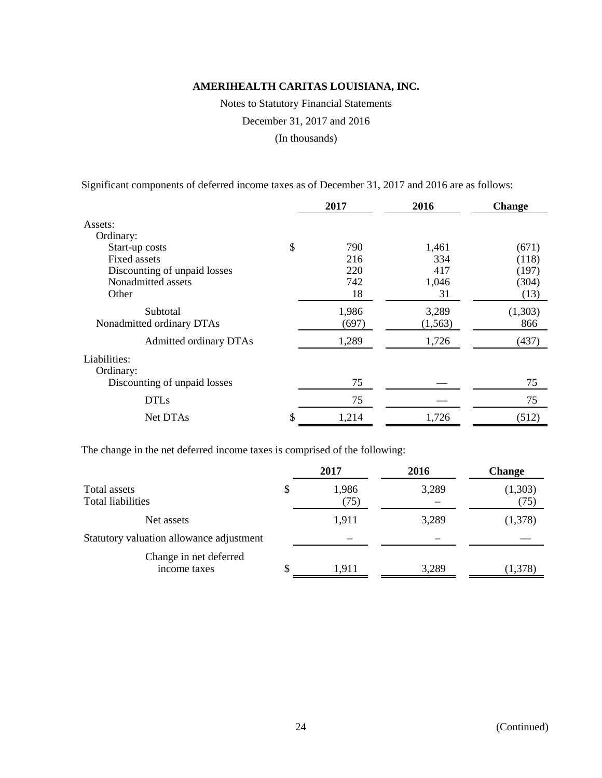Notes to Statutory Financial Statements

December 31, 2017 and 2016

(In thousands)

Significant components of deferred income taxes as of December 31, 2017 and 2016 are as follows:

|                              | 2017        | 2016     | <b>Change</b> |
|------------------------------|-------------|----------|---------------|
| Assets:                      |             |          |               |
| Ordinary:                    |             |          |               |
| Start-up costs               | \$<br>790   | 1,461    | (671)         |
| Fixed assets                 | 216         | 334      | (118)         |
| Discounting of unpaid losses | 220         | 417      | (197)         |
| Nonadmitted assets           | 742         | 1,046    | (304)         |
| Other                        | 18          | 31       | (13)          |
| Subtotal                     | 1,986       | 3,289    | (1,303)       |
| Nonadmitted ordinary DTAs    | (697)       | (1, 563) | 866           |
| Admitted ordinary DTAs       | 1,289       | 1,726    | (437)         |
| Liabilities:                 |             |          |               |
| Ordinary:                    |             |          |               |
| Discounting of unpaid losses | 75          |          | 75            |
| <b>DTLs</b>                  | 75          |          | 75            |
| Net DTAs                     | \$<br>1,214 | 1,726    | (512)         |

The change in the net deferred income taxes is comprised of the following:

|                                          |    | 2017          | 2016  | <b>Change</b>   |
|------------------------------------------|----|---------------|-------|-----------------|
| Total assets<br><b>Total liabilities</b> | \$ | 1,986<br>(75) | 3,289 | (1,303)<br>(75) |
| Net assets                               |    | 1,911         | 3,289 | (1,378)         |
| Statutory valuation allowance adjustment |    |               |       |                 |
| Change in net deferred<br>income taxes   | S  | 1,911         | 3,289 | (1,378)         |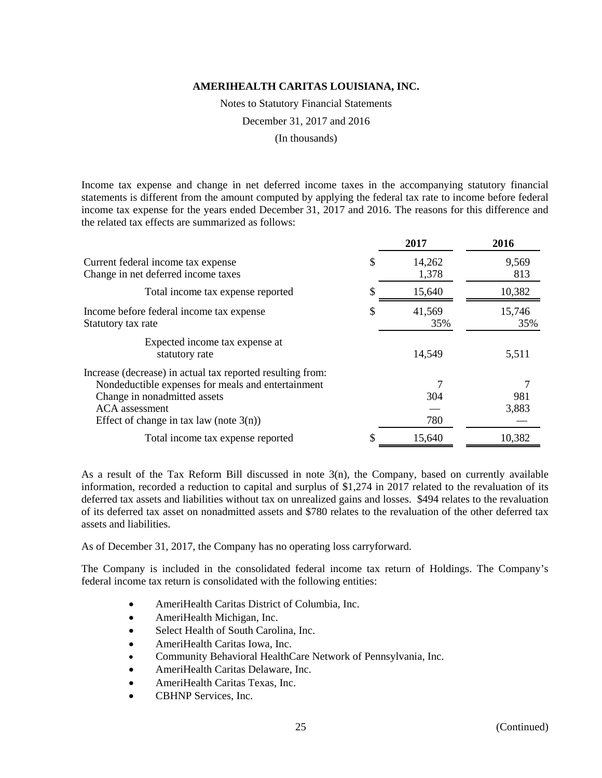Notes to Statutory Financial Statements

December 31, 2017 and 2016

(In thousands)

Income tax expense and change in net deferred income taxes in the accompanying statutory financial statements is different from the amount computed by applying the federal tax rate to income before federal income tax expense for the years ended December 31, 2017 and 2016. The reasons for this difference and the related tax effects are summarized as follows:

|                                                                                                                                                                                                                         |    | 2017            | 2016          |
|-------------------------------------------------------------------------------------------------------------------------------------------------------------------------------------------------------------------------|----|-----------------|---------------|
| Current federal income tax expense<br>Change in net deferred income taxes                                                                                                                                               | S  | 14,262<br>1,378 | 9,569<br>813  |
| Total income tax expense reported                                                                                                                                                                                       |    | 15,640          | 10,382        |
| Income before federal income tax expense<br>Statutory tax rate                                                                                                                                                          | \$ | 41,569<br>35%   | 15,746<br>35% |
| Expected income tax expense at<br>statutory rate                                                                                                                                                                        |    | 14,549          | 5,511         |
| Increase (decrease) in actual tax reported resulting from:<br>Nondeductible expenses for meals and entertainment<br>Change in nonadmitted assets<br><b>ACA</b> assessment<br>Effect of change in tax law (note $3(n)$ ) |    | 304<br>780      | 981<br>3,883  |
| Total income tax expense reported                                                                                                                                                                                       |    | 15,640          | 10,382        |

As a result of the Tax Reform Bill discussed in note 3(n), the Company, based on currently available information, recorded a reduction to capital and surplus of \$1,274 in 2017 related to the revaluation of its deferred tax assets and liabilities without tax on unrealized gains and losses. \$494 relates to the revaluation of its deferred tax asset on nonadmitted assets and \$780 relates to the revaluation of the other deferred tax assets and liabilities.

As of December 31, 2017, the Company has no operating loss carryforward.

The Company is included in the consolidated federal income tax return of Holdings. The Company's federal income tax return is consolidated with the following entities:

- AmeriHealth Caritas District of Columbia, Inc.
- AmeriHealth Michigan, Inc.
- Select Health of South Carolina, Inc.
- AmeriHealth Caritas Iowa, Inc.
- Community Behavioral HealthCare Network of Pennsylvania, Inc.
- AmeriHealth Caritas Delaware, Inc.
- AmeriHealth Caritas Texas, Inc.
- CBHNP Services, Inc.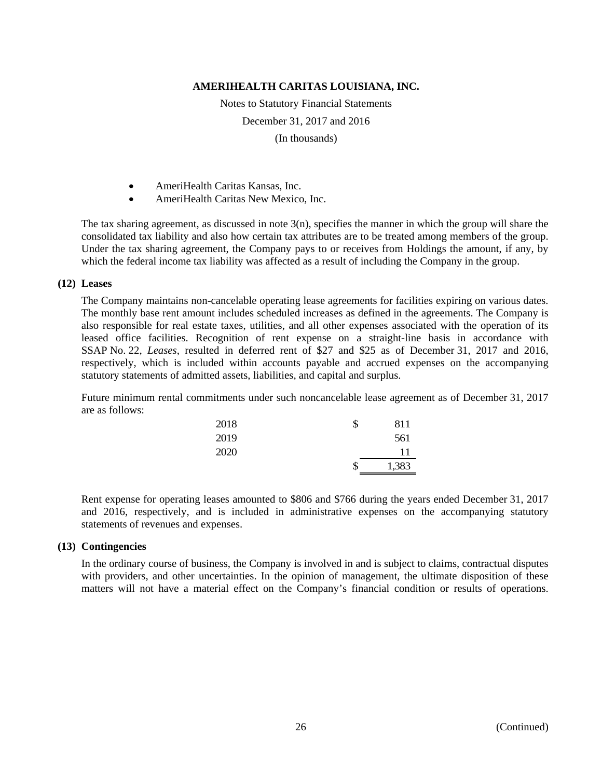Notes to Statutory Financial Statements December 31, 2017 and 2016 (In thousands)

- AmeriHealth Caritas Kansas, Inc.
- AmeriHealth Caritas New Mexico, Inc.

The tax sharing agreement, as discussed in note  $3(n)$ , specifies the manner in which the group will share the consolidated tax liability and also how certain tax attributes are to be treated among members of the group. Under the tax sharing agreement, the Company pays to or receives from Holdings the amount, if any, by which the federal income tax liability was affected as a result of including the Company in the group.

#### **(12) Leases**

The Company maintains non-cancelable operating lease agreements for facilities expiring on various dates. The monthly base rent amount includes scheduled increases as defined in the agreements. The Company is also responsible for real estate taxes, utilities, and all other expenses associated with the operation of its leased office facilities. Recognition of rent expense on a straight-line basis in accordance with SSAP No. 22, *Leases*, resulted in deferred rent of \$27 and \$25 as of December 31, 2017 and 2016, respectively, which is included within accounts payable and accrued expenses on the accompanying statutory statements of admitted assets, liabilities, and capital and surplus.

Future minimum rental commitments under such noncancelable lease agreement as of December 31, 2017 are as follows:

| 2018 | \$ | 811   |
|------|----|-------|
| 2019 |    | 561   |
| 2020 |    | 11    |
|      | S  | 1,383 |

Rent expense for operating leases amounted to \$806 and \$766 during the years ended December 31, 2017 and 2016, respectively, and is included in administrative expenses on the accompanying statutory statements of revenues and expenses.

#### **(13) Contingencies**

In the ordinary course of business, the Company is involved in and is subject to claims, contractual disputes with providers, and other uncertainties. In the opinion of management, the ultimate disposition of these matters will not have a material effect on the Company's financial condition or results of operations.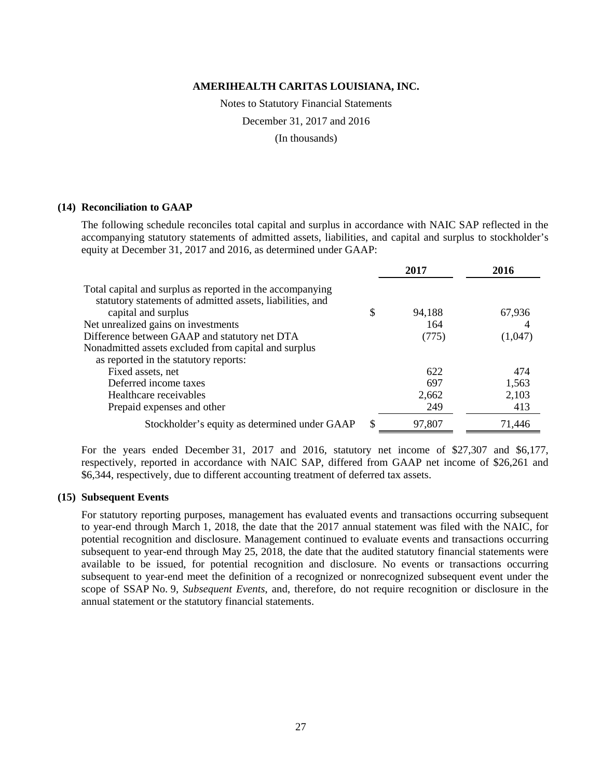Notes to Statutory Financial Statements

December 31, 2017 and 2016

(In thousands)

#### **(14) Reconciliation to GAAP**

The following schedule reconciles total capital and surplus in accordance with NAIC SAP reflected in the accompanying statutory statements of admitted assets, liabilities, and capital and surplus to stockholder's equity at December 31, 2017 and 2016, as determined under GAAP:

|                                                                                                                        |   | 2017   | 2016    |
|------------------------------------------------------------------------------------------------------------------------|---|--------|---------|
| Total capital and surplus as reported in the accompanying<br>statutory statements of admitted assets, liabilities, and |   |        |         |
| capital and surplus                                                                                                    | S | 94,188 | 67,936  |
| Net unrealized gains on investments                                                                                    |   | 164    |         |
| Difference between GAAP and statutory net DTA                                                                          |   | (775)  | (1,047) |
| Nonadmitted assets excluded from capital and surplus                                                                   |   |        |         |
| as reported in the statutory reports:                                                                                  |   |        |         |
| Fixed assets, net                                                                                                      |   | 622    | 474     |
| Deferred income taxes                                                                                                  |   | 697    | 1,563   |
| Healthcare receivables                                                                                                 |   | 2,662  | 2,103   |
| Prepaid expenses and other                                                                                             |   | 249    | 413     |
| Stockholder's equity as determined under GAAP                                                                          |   | 97,807 | 71,446  |

For the years ended December 31, 2017 and 2016, statutory net income of \$27,307 and \$6,177, respectively, reported in accordance with NAIC SAP, differed from GAAP net income of \$26,261 and \$6,344, respectively, due to different accounting treatment of deferred tax assets.

#### **(15) Subsequent Events**

For statutory reporting purposes, management has evaluated events and transactions occurring subsequent to year-end through March 1, 2018, the date that the 2017 annual statement was filed with the NAIC, for potential recognition and disclosure. Management continued to evaluate events and transactions occurring subsequent to year-end through May 25, 2018, the date that the audited statutory financial statements were available to be issued, for potential recognition and disclosure. No events or transactions occurring subsequent to year-end meet the definition of a recognized or nonrecognized subsequent event under the scope of SSAP No. 9, *Subsequent Events*, and, therefore, do not require recognition or disclosure in the annual statement or the statutory financial statements.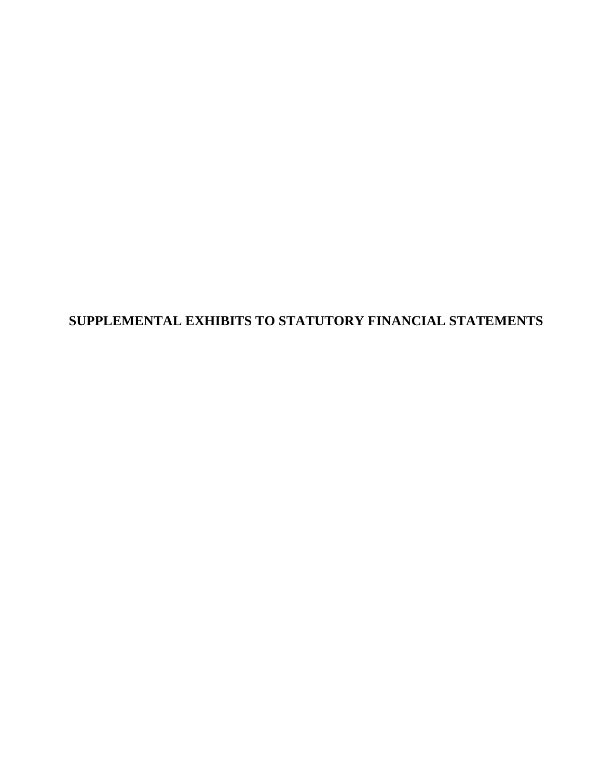**SUPPLEMENTAL EXHIBITS TO STATUTORY FINANCIAL STATEMENTS**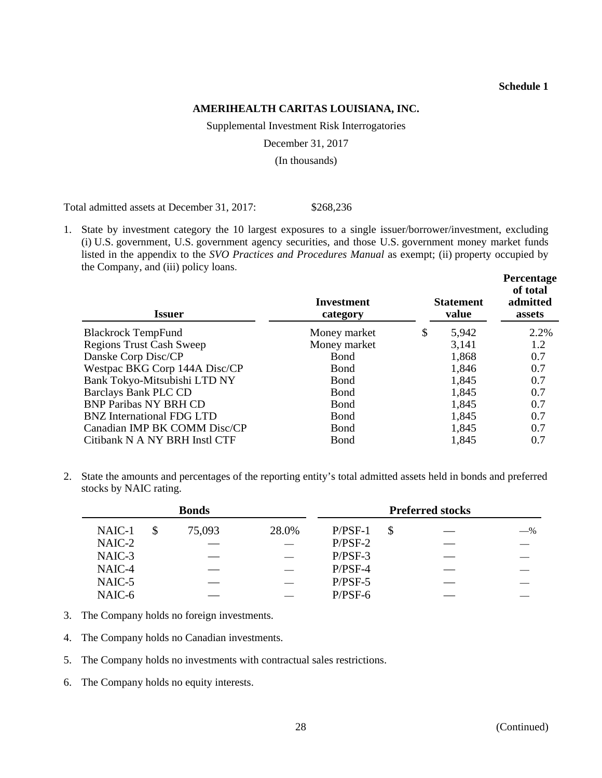**Percentage**

## **AMERIHEALTH CARITAS LOUISIANA, INC.**

#### Supplemental Investment Risk Interrogatories

#### December 31, 2017

#### (In thousands)

Total admitted assets at December 31, 2017: \$268,236

1. State by investment category the 10 largest exposures to a single issuer/borrower/investment, excluding (i) U.S. government, U.S. government agency securities, and those U.S. government money market funds listed in the appendix to the *SVO Practices and Procedures Manual* as exempt; (ii) property occupied by the Company, and (iii) policy loans.

| <b>Issuer</b>                    | Investment<br>category | <b>Statement</b><br>value | of total<br>admitted<br>assets |
|----------------------------------|------------------------|---------------------------|--------------------------------|
| <b>Blackrock TempFund</b>        | Money market           | \$<br>5,942               | 2.2%                           |
| <b>Regions Trust Cash Sweep</b>  | Money market           | 3,141                     | 1.2                            |
| Danske Corp Disc/CP              | <b>B</b> ond           | 1,868                     | 0.7                            |
| Westpac BKG Corp 144A Disc/CP    | Bond                   | 1,846                     | 0.7                            |
| Bank Tokyo-Mitsubishi LTD NY     | <b>B</b> ond           | 1,845                     | 0.7                            |
| <b>Barclays Bank PLC CD</b>      | <b>Bond</b>            | 1,845                     | 0.7                            |
| <b>BNP Paribas NY BRH CD</b>     | <b>Bond</b>            | 1,845                     | 0.7                            |
| <b>BNZ</b> International FDG LTD | <b>B</b> ond           | 1,845                     | 0.7                            |
| Canadian IMP BK COMM Disc/CP     | Bond                   | 1,845                     | 0.7                            |
| Citibank N A NY BRH Instl CTF    | <b>Bond</b>            | 1,845                     | 0.7                            |

2. State the amounts and percentages of the reporting entity's total admitted assets held in bonds and preferred stocks by NAIC rating.

| <b>Bonds</b> |  |        | <b>Preferred stocks</b> |           |  |  |       |
|--------------|--|--------|-------------------------|-----------|--|--|-------|
| NAIC-1       |  | 75,093 | 28.0%                   | $P/PSF-1$ |  |  | $-$ % |
| $NAIC-2$     |  |        |                         | $P/PSF-2$ |  |  |       |
| NAIC-3       |  |        |                         | $P/PSF-3$ |  |  |       |
| NAIC-4       |  |        |                         | $P/PSF-4$ |  |  |       |
| NAIC-5       |  |        |                         | $P/PSF-5$ |  |  |       |
| NAIC-6       |  |        |                         | $P/PSF-6$ |  |  |       |

- 3. The Company holds no foreign investments.
- 4. The Company holds no Canadian investments.
- 5. The Company holds no investments with contractual sales restrictions.
- 6. The Company holds no equity interests.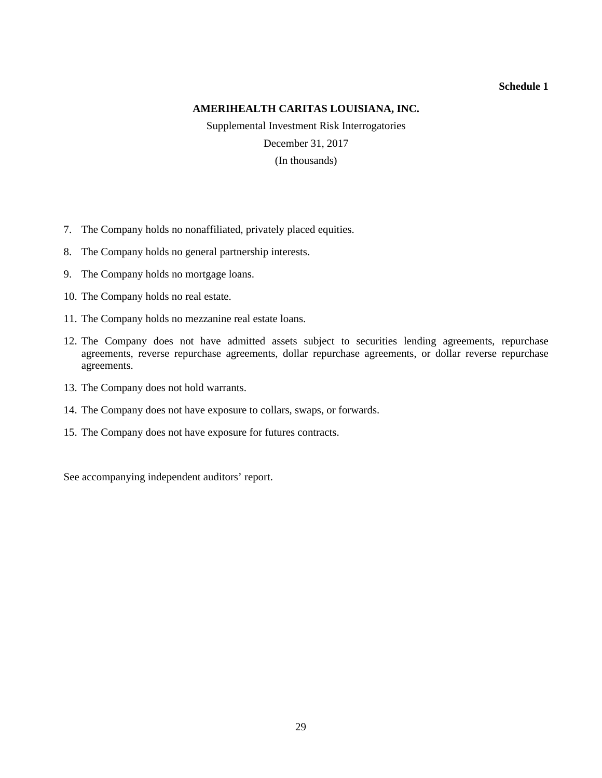## **AMERIHEALTH CARITAS LOUISIANA, INC.**

Supplemental Investment Risk Interrogatories December 31, 2017 (In thousands)

- 7. The Company holds no nonaffiliated, privately placed equities.
- 8. The Company holds no general partnership interests.
- 9. The Company holds no mortgage loans.
- 10. The Company holds no real estate.
- 11. The Company holds no mezzanine real estate loans.
- 12. The Company does not have admitted assets subject to securities lending agreements, repurchase agreements, reverse repurchase agreements, dollar repurchase agreements, or dollar reverse repurchase agreements.
- 13. The Company does not hold warrants.
- 14. The Company does not have exposure to collars, swaps, or forwards.
- 15. The Company does not have exposure for futures contracts.

See accompanying independent auditors' report.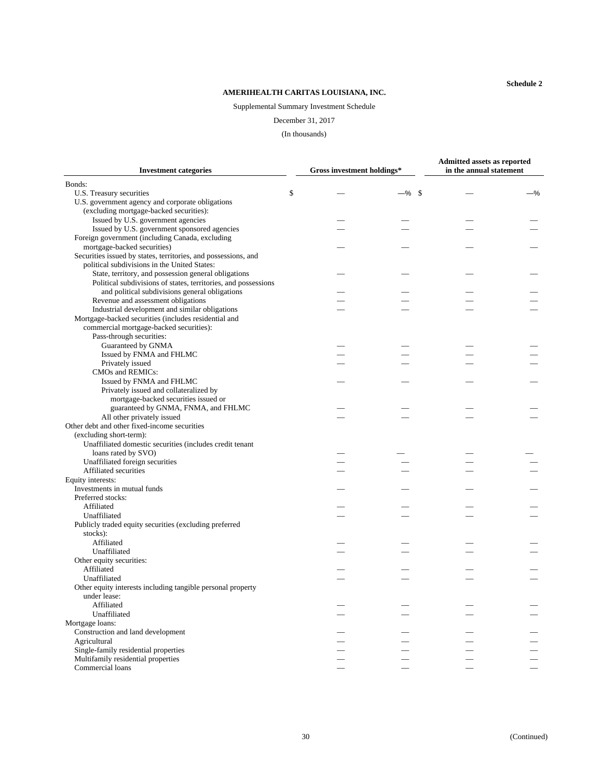#### **AMERIHEALTH CARITAS LOUISIANA, INC.**

## Supplemental Summary Investment Schedule

#### December 31, 2017

#### (In thousands)

| <b>Investment categories</b>                                                        |    | Gross investment holdings* |                        | <b>Admitted assets as reported</b><br>in the annual statement |  |
|-------------------------------------------------------------------------------------|----|----------------------------|------------------------|---------------------------------------------------------------|--|
| Bonds:                                                                              |    |                            |                        |                                                               |  |
| U.S. Treasury securities                                                            | \$ |                            | $-\%$<br>$\mathcal{S}$ | $-\%$                                                         |  |
| U.S. government agency and corporate obligations                                    |    |                            |                        |                                                               |  |
| (excluding mortgage-backed securities):                                             |    |                            |                        |                                                               |  |
| Issued by U.S. government agencies                                                  |    |                            |                        |                                                               |  |
| Issued by U.S. government sponsored agencies                                        |    |                            |                        |                                                               |  |
| Foreign government (including Canada, excluding                                     |    |                            |                        |                                                               |  |
| mortgage-backed securities)                                                         |    |                            |                        |                                                               |  |
| Securities issued by states, territories, and possessions, and                      |    |                            |                        |                                                               |  |
| political subdivisions in the United States:                                        |    |                            |                        |                                                               |  |
| State, territory, and possession general obligations                                |    |                            |                        |                                                               |  |
| Political subdivisions of states, territories, and possessions                      |    |                            |                        |                                                               |  |
| and political subdivisions general obligations                                      |    |                            |                        |                                                               |  |
| Revenue and assessment obligations                                                  |    |                            |                        |                                                               |  |
| Industrial development and similar obligations                                      |    |                            |                        |                                                               |  |
| Mortgage-backed securities (includes residential and                                |    |                            |                        |                                                               |  |
| commercial mortgage-backed securities):                                             |    |                            |                        |                                                               |  |
| Pass-through securities:                                                            |    |                            |                        |                                                               |  |
| Guaranteed by GNMA                                                                  |    |                            |                        |                                                               |  |
| Issued by FNMA and FHLMC                                                            |    |                            |                        |                                                               |  |
| Privately issued                                                                    |    |                            |                        |                                                               |  |
| CMOs and REMICs:                                                                    |    |                            |                        |                                                               |  |
| Issued by FNMA and FHLMC                                                            |    |                            |                        |                                                               |  |
| Privately issued and collateralized by                                              |    |                            |                        |                                                               |  |
| mortgage-backed securities issued or                                                |    |                            |                        |                                                               |  |
| guaranteed by GNMA, FNMA, and FHLMC                                                 |    |                            |                        |                                                               |  |
| All other privately issued                                                          |    |                            |                        |                                                               |  |
| Other debt and other fixed-income securities                                        |    |                            |                        |                                                               |  |
| (excluding short-term):<br>Unaffiliated domestic securities (includes credit tenant |    |                            |                        |                                                               |  |
| loans rated by SVO)                                                                 |    |                            |                        |                                                               |  |
| Unaffiliated foreign securities                                                     |    |                            |                        |                                                               |  |
| Affiliated securities                                                               |    |                            |                        |                                                               |  |
| Equity interests:                                                                   |    |                            |                        |                                                               |  |
| Investments in mutual funds                                                         |    |                            |                        |                                                               |  |
| Preferred stocks:                                                                   |    |                            |                        |                                                               |  |
| Affiliated                                                                          |    |                            |                        |                                                               |  |
| Unaffiliated                                                                        |    |                            |                        |                                                               |  |
| Publicly traded equity securities (excluding preferred                              |    |                            |                        |                                                               |  |
| stocks):                                                                            |    |                            |                        |                                                               |  |
| Affiliated                                                                          |    |                            |                        |                                                               |  |
| Unaffiliated                                                                        |    |                            |                        |                                                               |  |
| Other equity securities:                                                            |    |                            |                        |                                                               |  |
| Affiliated                                                                          |    |                            |                        |                                                               |  |
| Unaffiliated                                                                        |    |                            |                        |                                                               |  |
| Other equity interests including tangible personal property                         |    |                            |                        |                                                               |  |
| under lease:                                                                        |    |                            |                        |                                                               |  |
| Affiliated                                                                          |    |                            |                        |                                                               |  |
| Unaffiliated                                                                        |    |                            |                        |                                                               |  |
| Mortgage loans:                                                                     |    |                            |                        |                                                               |  |
| Construction and land development                                                   |    |                            |                        |                                                               |  |
| Agricultural                                                                        |    |                            |                        |                                                               |  |
| Single-family residential properties                                                |    |                            |                        |                                                               |  |
| Multifamily residential properties                                                  |    |                            |                        |                                                               |  |
| Commercial loans                                                                    |    |                            |                        |                                                               |  |